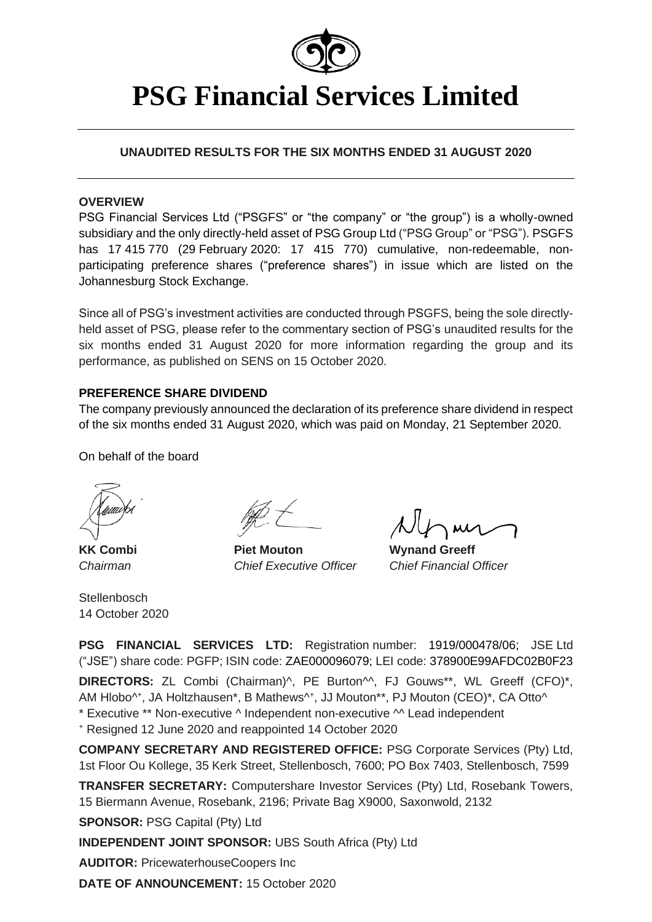

# **PSG Financial Services Limited**

# **UNAUDITED RESULTS FOR THE SIX MONTHS ENDED 31 AUGUST 2020**

# **OVERVIEW**

PSG Financial Services Ltd ("PSGFS" or "the company" or "the group") is a wholly-owned subsidiary and the only directly-held asset of PSG Group Ltd ("PSG Group" or "PSG"). PSGFS has 17 415 770 (29 February 2020: 17 415 770) cumulative, non-redeemable, nonparticipating preference shares ("preference shares") in issue which are listed on the Johannesburg Stock Exchange.

Since all of PSG's investment activities are conducted through PSGFS, being the sole directlyheld asset of PSG, please refer to the commentary section of PSG's unaudited results for the six months ended 31 August 2020 for more information regarding the group and its performance, as published on SENS on 15 October 2020.

## **PREFERENCE SHARE DIVIDEND**

The company previously announced the declaration of its preference share dividend in respect of the six months ended 31 August 2020, which was paid on Monday, 21 September 2020.

On behalf of the board

**Stellenbosch** 14 October 2020

**KK Combi Piet Mouton Wynand Greeff** *Chairman Chief Executive Officer Chief Financial Officer*

M

**PSG FINANCIAL SERVICES LTD:** Registration number: 1919/000478/06; JSE Ltd ("JSE") share code: PGFP; ISIN code: ZAE000096079; LEI code: 378900E99AFDC02B0F23 **DIRECTORS:** ZL Combi (Chairman)<sup>A</sup>, PE Burton<sup>AA</sup>, FJ Gouws<sup>\*\*</sup>, WL Greeff (CFO)<sup>\*</sup>, AM Hlobo<sup>^+</sup>, JA Holtzhausen\*, B Mathews<sup>^+</sup>, JJ Mouton\*\*, PJ Mouton (CEO)\*, CA Otto^ \* Executive \*\* Non-executive ^ Independent non-executive ^^ Lead independent

<sup>+</sup> Resigned 12 June 2020 and reappointed 14 October 2020

**COMPANY SECRETARY AND REGISTERED OFFICE:** PSG Corporate Services (Pty) Ltd, 1st Floor Ou Kollege, 35 Kerk Street, Stellenbosch, 7600; PO Box 7403, Stellenbosch, 7599

**TRANSFER SECRETARY:** Computershare Investor Services (Pty) Ltd, Rosebank Towers, 15 Biermann Avenue, Rosebank, 2196; Private Bag X9000, Saxonwold, 2132

**SPONSOR:** PSG Capital (Pty) Ltd

**INDEPENDENT JOINT SPONSOR:** UBS South Africa (Pty) Ltd

**AUDITOR:** PricewaterhouseCoopers Inc

**DATE OF ANNOUNCEMENT:** 15 October 2020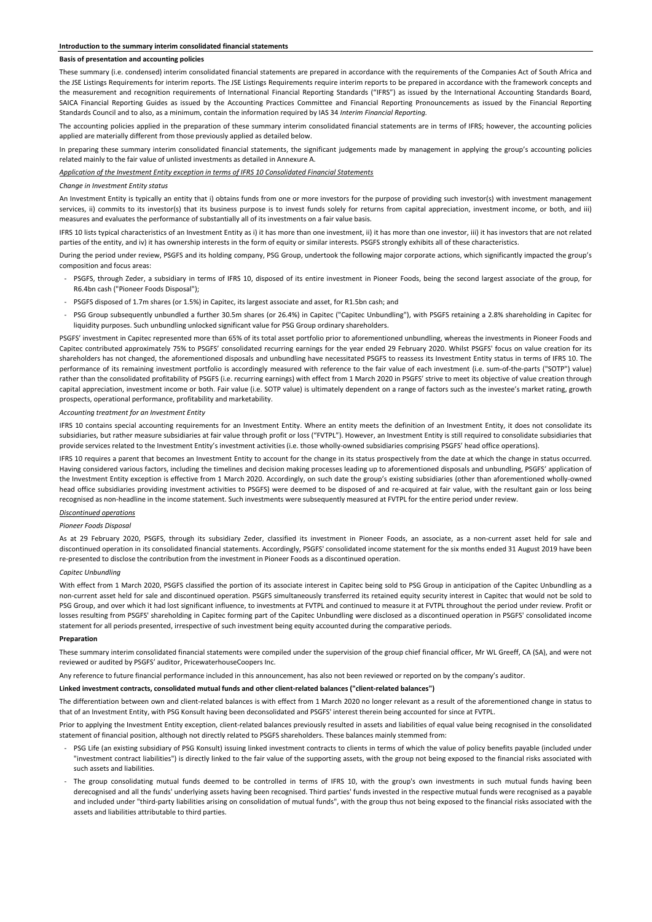#### **Basis of presentation and accounting policies**

These summary (i.e. condensed) interim consolidated financial statements are prepared in accordance with the requirements of the Companies Act of South Africa and the JSE Listings Requirements for interim reports. The JSE Listings Requirements require interim reports to be prepared in accordance with the framework concepts and the measurement and recognition requirements of International Financial Reporting Standards ("IFRS") as issued by the International Accounting Standards Board, SAICA Financial Reporting Guides as issued by the Accounting Practices Committee and Financial Reporting Pronouncements as issued by the Financial Reporting Standards Council and to also, as a minimum, contain the information required by IAS 34 *Interim Financial Reporting.*

The accounting policies applied in the preparation of these summary interim consolidated financial statements are in terms of IFRS; however, the accounting policies applied are materially different from those previously applied as detailed below.

In preparing these summary interim consolidated financial statements, the significant judgements made by management in applying the group's accounting policies related mainly to the fair value of unlisted investments as detailed in Annexure A.

*Application of the Investment Entity exception in terms of IFRS 10 Consolidated Financial Statements*

#### *Change in Investment Entity status*

An Investment Entity is typically an entity that i) obtains funds from one or more investors for the purpose of providing such investor(s) with investment management services, ii) commits to its investor(s) that its business purpose is to invest funds solely for returns from capital appreciation, investment income, or both, and iii) measures and evaluates the performance of substantially all of its investments on a fair value basis.

IFRS 10 lists typical characteristics of an Investment Entity as i) it has more than one investment, ii) it has more than one investor, iii) it has investors that are not related parties of the entity, and iv) it has ownership interests in the form of equity or similar interests. PSGFS strongly exhibits all of these characteristics.

During the period under review, PSGFS and its holding company, PSG Group, undertook the following major corporate actions, which significantly impacted the group's composition and focus areas:

- PSGFS, through Zeder, a subsidiary in terms of IFRS 10, disposed of its entire investment in Pioneer Foods, being the second largest associate of the group, for R6.4bn cash ("Pioneer Foods Disposal");
- PSGFS disposed of 1.7m shares (or 1.5%) in Capitec, its largest associate and asset, for R1.5bn cash; and
- PSG Group subsequently unbundled a further 30.5m shares (or 26.4%) in Capitec ("Capitec Unbundling"), with PSGFS retaining a 2.8% shareholding in Capitec for liquidity purposes. Such unbundling unlocked significant value for PSG Group ordinary shareholders.

PSGFS' investment in Capitec represented more than 65% of its total asset portfolio prior to aforementioned unbundling, whereas the investments in Pioneer Foods and Capitec contributed approximately 75% to PSGFS' consolidated recurring earnings for the year ended 29 February 2020. Whilst PSGFS' focus on value creation for its shareholders has not changed, the aforementioned disposals and unbundling have necessitated PSGFS to reassess its Investment Entity status in terms of IFRS 10. The performance of its remaining investment portfolio is accordingly measured with reference to the fair value of each investment (i.e. sum-of-the-parts ("SOTP") value) rather than the consolidated profitability of PSGFS (i.e. recurring earnings) with effect from 1 March 2020 in PSGFS' strive to meet its objective of value creation through capital appreciation, investment income or both. Fair value (i.e. SOTP value) is ultimately dependent on a range of factors such as the investee's market rating, growth prospects, operational performance, profitability and marketability.

#### *Accounting treatment for an Investment Entity*

IFRS 10 contains special accounting requirements for an Investment Entity. Where an entity meets the definition of an Investment Entity, it does not consolidate its subsidiaries, but rather measure subsidiaries at fair value through profit or loss ("FVTPL"). However, an Investment Entity is still required to consolidate subsidiaries that provide services related to the Investment Entity's investment activities (i.e. those wholly-owned subsidiaries comprising PSGFS' head office operations).

IFRS 10 requires a parent that becomes an Investment Entity to account for the change in its status prospectively from the date at which the change in status occurred. Having considered various factors, including the timelines and decision making processes leading up to aforementioned disposals and unbundling, PSGFS' application of the Investment Entity exception is effective from 1 March 2020. Accordingly, on such date the group's existing subsidiaries (other than aforementioned wholly-owned head office subsidiaries providing investment activities to PSGFS) were deemed to be disposed of and re-acquired at fair value, with the resultant gain or loss being recognised as non-headline in the income statement. Such investments were subsequently measured at FVTPL for the entire period under review.

#### *Discontinued operations*

#### *Pioneer Foods Disposal*

As at 29 February 2020, PSGFS, through its subsidiary Zeder, classified its investment in Pioneer Foods, an associate, as a non-current asset held for sale and discontinued operation in its consolidated financial statements. Accordingly, PSGFS' consolidated income statement for the six months ended 31 August 2019 have been re-presented to disclose the contribution from the investment in Pioneer Foods as a discontinued operation.

#### *Capitec Unbundling*

With effect from 1 March 2020, PSGFS classified the portion of its associate interest in Capitec being sold to PSG Group in anticipation of the Capitec Unbundling as a non-current asset held for sale and discontinued operation. PSGFS simultaneously transferred its retained equity security interest in Capitec that would not be sold to PSG Group, and over which it had lost significant influence, to investments at FVTPL and continued to measure it at FVTPL throughout the period under review. Profit or losses resulting from PSGFS' shareholding in Capitec forming part of the Capitec Unbundling were disclosed as a discontinued operation in PSGFS' consolidated income statement for all periods presented, irrespective of such investment being equity accounted during the comparative periods.

#### **Preparation**

These summary interim consolidated financial statements were compiled under the supervision of the group chief financial officer, Mr WL Greeff, CA (SA), and were not reviewed or audited by PSGFS' auditor, PricewaterhouseCoopers Inc.

Any reference to future financial performance included in this announcement, has also not been reviewed or reported on by the company's auditor.

#### **Linked investment contracts, consolidated mutual funds and other client-related balances ("client-related balances")**

The differentiation between own and client-related balances is with effect from 1 March 2020 no longer relevant as a result of the aforementioned change in status to that of an Investment Entity, with PSG Konsult having been deconsolidated and PSGFS' interest therein being accounted for since at FVTPL.

Prior to applying the Investment Entity exception, client-related balances previously resulted in assets and liabilities of equal value being recognised in the consolidated statement of financial position, although not directly related to PSGFS shareholders. These balances mainly stemmed from:

- PSG Life (an existing subsidiary of PSG Konsult) issuing linked investment contracts to clients in terms of which the value of policy benefits payable (included under "investment contract liabilities") is directly linked to the fair value of the supporting assets, with the group not being exposed to the financial risks associated with such assets and liabilities.
- The group consolidating mutual funds deemed to be controlled in terms of IFRS 10, with the group's own investments in such mutual funds having been derecognised and all the funds' underlying assets having been recognised. Third parties' funds invested in the respective mutual funds were recognised as a payable and included under "third-party liabilities arising on consolidation of mutual funds", with the group thus not being exposed to the financial risks associated with the assets and liabilities attributable to third parties.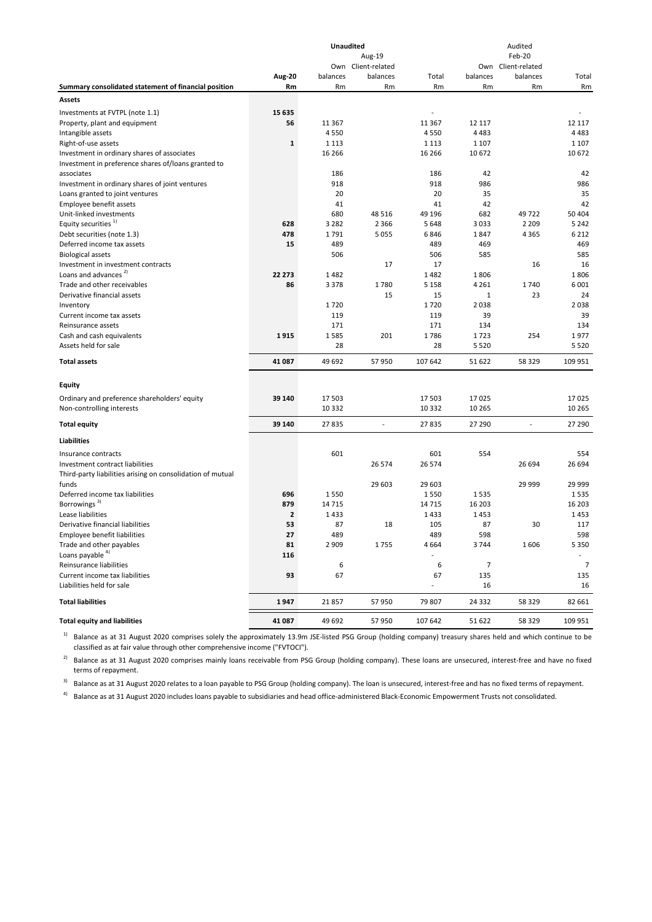| Own Client-related<br>Own Client-related<br>Aug-20<br>balances<br>balances<br>Total<br>balances<br>balances<br>Total<br>Summary consolidated statement of financial position<br>Rm<br>Rm<br>Rm<br>Rm<br>Rm<br>Rm<br>Rm<br>Assets<br>15 635<br>Investments at FVTPL (note 1.1)<br>٠<br>56<br>11 3 6 7<br>12 117<br>Property, plant and equipment<br>11 3 6 7<br>12 117<br>4550<br>4550<br>4483<br>Intangible assets<br>4 4 8 3<br>Right-of-use assets<br>1<br>1 1 1 3<br>1 1 1 3<br>1 1 0 7<br>1 1 0 7<br>Investment in ordinary shares of associates<br>16 26 6<br>16 26 6<br>10672<br>10 672<br>Investment in preference shares of/loans granted to<br>associates<br>186<br>186<br>42<br>42<br>918<br>918<br>986<br>986<br>Investment in ordinary shares of joint ventures<br>20<br>35<br>Loans granted to joint ventures<br>20<br>35<br>42<br>Employee benefit assets<br>41<br>41<br>42<br>49722<br>Unit-linked investments<br>680<br>48 5 16<br>49 196<br>682<br>50 404<br>Equity securities <sup>1)</sup><br>2 3 6 6<br>2 2 0 9<br>628<br>3 2 8 2<br>5648<br>3033<br>5 2 4 2<br>Debt securities (note 1.3)<br>478<br>1791<br>5 0 5 5<br>1847<br>4 3 6 5<br>6846<br>6 2 1 2<br>15<br>489<br>489<br>469<br>469<br>Deferred income tax assets<br>506<br>585<br>506<br>585<br><b>Biological assets</b><br>16<br>Investment in investment contracts<br>17<br>17<br>16<br>Loans and advances <sup>2)</sup><br>22 273<br>1482<br>1482<br>1806<br>1806<br>Trade and other receivables<br>86<br>1780<br>3378<br>5 1 5 8<br>4 2 6 1<br>1740<br>6 0 0 1<br>23<br>Derivative financial assets<br>15<br>15<br>24<br>1<br>2038<br>2038<br>1720<br>1720<br>Inventory<br>119<br>39<br>Current income tax assets<br>119<br>39<br>171<br>171<br>134<br>134<br>Reinsurance assets<br>1585<br>1786<br>1723<br>254<br>1977<br>Cash and cash equivalents<br>1915<br>201<br>28<br>28<br>Assets held for sale<br>5 5 2 0<br>5 5 2 0<br><b>Total assets</b><br>41 087<br>49 692<br>57 950<br>107 642<br>51 622<br>58 329<br>109 951<br><b>Equity</b><br>Ordinary and preference shareholders' equity<br>39 140<br>17503<br>17 503<br>17025<br>17025<br>10 3 32<br>Non-controlling interests<br>10 3 32<br>10 265<br>10 265<br>39 140<br>27 290<br>27835<br>$\overline{a}$<br>27 835<br>27 290<br><b>Total equity</b><br>L,<br><b>Liabilities</b><br>554<br>601<br>601<br>554<br>Insurance contracts<br>26 574<br>Investment contract liabilities<br>26 574<br>26 694<br>26 694<br>Third-party liabilities arising on consolidation of mutual<br>funds<br>29 603<br>29 603<br>29 999<br>29 999<br>Deferred income tax liabilities<br>696<br>1550<br>1535<br>1550<br>1535<br>Borrowings <sup>3)</sup><br>879<br>14715<br>14 7 15<br>16 203<br>16 203<br>$\overline{\mathbf{2}}$<br>1433<br>1433<br>1453<br>1453<br>Lease liabilities<br>87<br>87<br>Derivative financial liabilities<br>53<br>18<br>105<br>30<br>117<br><b>Employee benefit liabilities</b><br>27<br>489<br>489<br>598<br>598<br>Trade and other payables<br>81<br>2 9 0 9<br>1755<br>4664<br>1606<br>5 3 5 0<br>3744<br>Loans payable <sup>4)</sup><br>116<br>Reinsurance liabilities<br>6<br>6<br>$\overline{7}$<br>7<br>67<br>Current income tax liabilities<br>93<br>67<br>135<br>135<br>Liabilities held for sale<br>16<br>16<br>÷<br><b>Total liabilities</b><br>1947<br>21857<br>57 950<br>79 807<br>24 3 32<br>58 329<br>82 661<br><b>Total equity and liabilities</b><br>41 087<br>49 692<br>57 950<br>58 329<br>109 951<br>107 642<br>51 622 |  | Unaudited | Aug-19 |  | Audited<br>Feb-20 |  |
|-------------------------------------------------------------------------------------------------------------------------------------------------------------------------------------------------------------------------------------------------------------------------------------------------------------------------------------------------------------------------------------------------------------------------------------------------------------------------------------------------------------------------------------------------------------------------------------------------------------------------------------------------------------------------------------------------------------------------------------------------------------------------------------------------------------------------------------------------------------------------------------------------------------------------------------------------------------------------------------------------------------------------------------------------------------------------------------------------------------------------------------------------------------------------------------------------------------------------------------------------------------------------------------------------------------------------------------------------------------------------------------------------------------------------------------------------------------------------------------------------------------------------------------------------------------------------------------------------------------------------------------------------------------------------------------------------------------------------------------------------------------------------------------------------------------------------------------------------------------------------------------------------------------------------------------------------------------------------------------------------------------------------------------------------------------------------------------------------------------------------------------------------------------------------------------------------------------------------------------------------------------------------------------------------------------------------------------------------------------------------------------------------------------------------------------------------------------------------------------------------------------------------------------------------------------------------------------------------------------------------------------------------------------------------------------------------------------------------------------------------------------------------------------------------------------------------------------------------------------------------------------------------------------------------------------------------------------------------------------------------------------------------------------------------------------------------------------------------------------------------------------------------------------------------------------------------------------------------------------------------------------------------------------------------------------------------------------------------------------------------------------------------------------------------------------------------------------------------------------------------|--|-----------|--------|--|-------------------|--|
|                                                                                                                                                                                                                                                                                                                                                                                                                                                                                                                                                                                                                                                                                                                                                                                                                                                                                                                                                                                                                                                                                                                                                                                                                                                                                                                                                                                                                                                                                                                                                                                                                                                                                                                                                                                                                                                                                                                                                                                                                                                                                                                                                                                                                                                                                                                                                                                                                                                                                                                                                                                                                                                                                                                                                                                                                                                                                                                                                                                                                                                                                                                                                                                                                                                                                                                                                                                                                                                                                                 |  |           |        |  |                   |  |
|                                                                                                                                                                                                                                                                                                                                                                                                                                                                                                                                                                                                                                                                                                                                                                                                                                                                                                                                                                                                                                                                                                                                                                                                                                                                                                                                                                                                                                                                                                                                                                                                                                                                                                                                                                                                                                                                                                                                                                                                                                                                                                                                                                                                                                                                                                                                                                                                                                                                                                                                                                                                                                                                                                                                                                                                                                                                                                                                                                                                                                                                                                                                                                                                                                                                                                                                                                                                                                                                                                 |  |           |        |  |                   |  |
|                                                                                                                                                                                                                                                                                                                                                                                                                                                                                                                                                                                                                                                                                                                                                                                                                                                                                                                                                                                                                                                                                                                                                                                                                                                                                                                                                                                                                                                                                                                                                                                                                                                                                                                                                                                                                                                                                                                                                                                                                                                                                                                                                                                                                                                                                                                                                                                                                                                                                                                                                                                                                                                                                                                                                                                                                                                                                                                                                                                                                                                                                                                                                                                                                                                                                                                                                                                                                                                                                                 |  |           |        |  |                   |  |
|                                                                                                                                                                                                                                                                                                                                                                                                                                                                                                                                                                                                                                                                                                                                                                                                                                                                                                                                                                                                                                                                                                                                                                                                                                                                                                                                                                                                                                                                                                                                                                                                                                                                                                                                                                                                                                                                                                                                                                                                                                                                                                                                                                                                                                                                                                                                                                                                                                                                                                                                                                                                                                                                                                                                                                                                                                                                                                                                                                                                                                                                                                                                                                                                                                                                                                                                                                                                                                                                                                 |  |           |        |  |                   |  |
|                                                                                                                                                                                                                                                                                                                                                                                                                                                                                                                                                                                                                                                                                                                                                                                                                                                                                                                                                                                                                                                                                                                                                                                                                                                                                                                                                                                                                                                                                                                                                                                                                                                                                                                                                                                                                                                                                                                                                                                                                                                                                                                                                                                                                                                                                                                                                                                                                                                                                                                                                                                                                                                                                                                                                                                                                                                                                                                                                                                                                                                                                                                                                                                                                                                                                                                                                                                                                                                                                                 |  |           |        |  |                   |  |
|                                                                                                                                                                                                                                                                                                                                                                                                                                                                                                                                                                                                                                                                                                                                                                                                                                                                                                                                                                                                                                                                                                                                                                                                                                                                                                                                                                                                                                                                                                                                                                                                                                                                                                                                                                                                                                                                                                                                                                                                                                                                                                                                                                                                                                                                                                                                                                                                                                                                                                                                                                                                                                                                                                                                                                                                                                                                                                                                                                                                                                                                                                                                                                                                                                                                                                                                                                                                                                                                                                 |  |           |        |  |                   |  |
|                                                                                                                                                                                                                                                                                                                                                                                                                                                                                                                                                                                                                                                                                                                                                                                                                                                                                                                                                                                                                                                                                                                                                                                                                                                                                                                                                                                                                                                                                                                                                                                                                                                                                                                                                                                                                                                                                                                                                                                                                                                                                                                                                                                                                                                                                                                                                                                                                                                                                                                                                                                                                                                                                                                                                                                                                                                                                                                                                                                                                                                                                                                                                                                                                                                                                                                                                                                                                                                                                                 |  |           |        |  |                   |  |
|                                                                                                                                                                                                                                                                                                                                                                                                                                                                                                                                                                                                                                                                                                                                                                                                                                                                                                                                                                                                                                                                                                                                                                                                                                                                                                                                                                                                                                                                                                                                                                                                                                                                                                                                                                                                                                                                                                                                                                                                                                                                                                                                                                                                                                                                                                                                                                                                                                                                                                                                                                                                                                                                                                                                                                                                                                                                                                                                                                                                                                                                                                                                                                                                                                                                                                                                                                                                                                                                                                 |  |           |        |  |                   |  |
|                                                                                                                                                                                                                                                                                                                                                                                                                                                                                                                                                                                                                                                                                                                                                                                                                                                                                                                                                                                                                                                                                                                                                                                                                                                                                                                                                                                                                                                                                                                                                                                                                                                                                                                                                                                                                                                                                                                                                                                                                                                                                                                                                                                                                                                                                                                                                                                                                                                                                                                                                                                                                                                                                                                                                                                                                                                                                                                                                                                                                                                                                                                                                                                                                                                                                                                                                                                                                                                                                                 |  |           |        |  |                   |  |
|                                                                                                                                                                                                                                                                                                                                                                                                                                                                                                                                                                                                                                                                                                                                                                                                                                                                                                                                                                                                                                                                                                                                                                                                                                                                                                                                                                                                                                                                                                                                                                                                                                                                                                                                                                                                                                                                                                                                                                                                                                                                                                                                                                                                                                                                                                                                                                                                                                                                                                                                                                                                                                                                                                                                                                                                                                                                                                                                                                                                                                                                                                                                                                                                                                                                                                                                                                                                                                                                                                 |  |           |        |  |                   |  |
|                                                                                                                                                                                                                                                                                                                                                                                                                                                                                                                                                                                                                                                                                                                                                                                                                                                                                                                                                                                                                                                                                                                                                                                                                                                                                                                                                                                                                                                                                                                                                                                                                                                                                                                                                                                                                                                                                                                                                                                                                                                                                                                                                                                                                                                                                                                                                                                                                                                                                                                                                                                                                                                                                                                                                                                                                                                                                                                                                                                                                                                                                                                                                                                                                                                                                                                                                                                                                                                                                                 |  |           |        |  |                   |  |
|                                                                                                                                                                                                                                                                                                                                                                                                                                                                                                                                                                                                                                                                                                                                                                                                                                                                                                                                                                                                                                                                                                                                                                                                                                                                                                                                                                                                                                                                                                                                                                                                                                                                                                                                                                                                                                                                                                                                                                                                                                                                                                                                                                                                                                                                                                                                                                                                                                                                                                                                                                                                                                                                                                                                                                                                                                                                                                                                                                                                                                                                                                                                                                                                                                                                                                                                                                                                                                                                                                 |  |           |        |  |                   |  |
|                                                                                                                                                                                                                                                                                                                                                                                                                                                                                                                                                                                                                                                                                                                                                                                                                                                                                                                                                                                                                                                                                                                                                                                                                                                                                                                                                                                                                                                                                                                                                                                                                                                                                                                                                                                                                                                                                                                                                                                                                                                                                                                                                                                                                                                                                                                                                                                                                                                                                                                                                                                                                                                                                                                                                                                                                                                                                                                                                                                                                                                                                                                                                                                                                                                                                                                                                                                                                                                                                                 |  |           |        |  |                   |  |
|                                                                                                                                                                                                                                                                                                                                                                                                                                                                                                                                                                                                                                                                                                                                                                                                                                                                                                                                                                                                                                                                                                                                                                                                                                                                                                                                                                                                                                                                                                                                                                                                                                                                                                                                                                                                                                                                                                                                                                                                                                                                                                                                                                                                                                                                                                                                                                                                                                                                                                                                                                                                                                                                                                                                                                                                                                                                                                                                                                                                                                                                                                                                                                                                                                                                                                                                                                                                                                                                                                 |  |           |        |  |                   |  |
|                                                                                                                                                                                                                                                                                                                                                                                                                                                                                                                                                                                                                                                                                                                                                                                                                                                                                                                                                                                                                                                                                                                                                                                                                                                                                                                                                                                                                                                                                                                                                                                                                                                                                                                                                                                                                                                                                                                                                                                                                                                                                                                                                                                                                                                                                                                                                                                                                                                                                                                                                                                                                                                                                                                                                                                                                                                                                                                                                                                                                                                                                                                                                                                                                                                                                                                                                                                                                                                                                                 |  |           |        |  |                   |  |
|                                                                                                                                                                                                                                                                                                                                                                                                                                                                                                                                                                                                                                                                                                                                                                                                                                                                                                                                                                                                                                                                                                                                                                                                                                                                                                                                                                                                                                                                                                                                                                                                                                                                                                                                                                                                                                                                                                                                                                                                                                                                                                                                                                                                                                                                                                                                                                                                                                                                                                                                                                                                                                                                                                                                                                                                                                                                                                                                                                                                                                                                                                                                                                                                                                                                                                                                                                                                                                                                                                 |  |           |        |  |                   |  |
|                                                                                                                                                                                                                                                                                                                                                                                                                                                                                                                                                                                                                                                                                                                                                                                                                                                                                                                                                                                                                                                                                                                                                                                                                                                                                                                                                                                                                                                                                                                                                                                                                                                                                                                                                                                                                                                                                                                                                                                                                                                                                                                                                                                                                                                                                                                                                                                                                                                                                                                                                                                                                                                                                                                                                                                                                                                                                                                                                                                                                                                                                                                                                                                                                                                                                                                                                                                                                                                                                                 |  |           |        |  |                   |  |
|                                                                                                                                                                                                                                                                                                                                                                                                                                                                                                                                                                                                                                                                                                                                                                                                                                                                                                                                                                                                                                                                                                                                                                                                                                                                                                                                                                                                                                                                                                                                                                                                                                                                                                                                                                                                                                                                                                                                                                                                                                                                                                                                                                                                                                                                                                                                                                                                                                                                                                                                                                                                                                                                                                                                                                                                                                                                                                                                                                                                                                                                                                                                                                                                                                                                                                                                                                                                                                                                                                 |  |           |        |  |                   |  |
|                                                                                                                                                                                                                                                                                                                                                                                                                                                                                                                                                                                                                                                                                                                                                                                                                                                                                                                                                                                                                                                                                                                                                                                                                                                                                                                                                                                                                                                                                                                                                                                                                                                                                                                                                                                                                                                                                                                                                                                                                                                                                                                                                                                                                                                                                                                                                                                                                                                                                                                                                                                                                                                                                                                                                                                                                                                                                                                                                                                                                                                                                                                                                                                                                                                                                                                                                                                                                                                                                                 |  |           |        |  |                   |  |
|                                                                                                                                                                                                                                                                                                                                                                                                                                                                                                                                                                                                                                                                                                                                                                                                                                                                                                                                                                                                                                                                                                                                                                                                                                                                                                                                                                                                                                                                                                                                                                                                                                                                                                                                                                                                                                                                                                                                                                                                                                                                                                                                                                                                                                                                                                                                                                                                                                                                                                                                                                                                                                                                                                                                                                                                                                                                                                                                                                                                                                                                                                                                                                                                                                                                                                                                                                                                                                                                                                 |  |           |        |  |                   |  |
|                                                                                                                                                                                                                                                                                                                                                                                                                                                                                                                                                                                                                                                                                                                                                                                                                                                                                                                                                                                                                                                                                                                                                                                                                                                                                                                                                                                                                                                                                                                                                                                                                                                                                                                                                                                                                                                                                                                                                                                                                                                                                                                                                                                                                                                                                                                                                                                                                                                                                                                                                                                                                                                                                                                                                                                                                                                                                                                                                                                                                                                                                                                                                                                                                                                                                                                                                                                                                                                                                                 |  |           |        |  |                   |  |
|                                                                                                                                                                                                                                                                                                                                                                                                                                                                                                                                                                                                                                                                                                                                                                                                                                                                                                                                                                                                                                                                                                                                                                                                                                                                                                                                                                                                                                                                                                                                                                                                                                                                                                                                                                                                                                                                                                                                                                                                                                                                                                                                                                                                                                                                                                                                                                                                                                                                                                                                                                                                                                                                                                                                                                                                                                                                                                                                                                                                                                                                                                                                                                                                                                                                                                                                                                                                                                                                                                 |  |           |        |  |                   |  |
|                                                                                                                                                                                                                                                                                                                                                                                                                                                                                                                                                                                                                                                                                                                                                                                                                                                                                                                                                                                                                                                                                                                                                                                                                                                                                                                                                                                                                                                                                                                                                                                                                                                                                                                                                                                                                                                                                                                                                                                                                                                                                                                                                                                                                                                                                                                                                                                                                                                                                                                                                                                                                                                                                                                                                                                                                                                                                                                                                                                                                                                                                                                                                                                                                                                                                                                                                                                                                                                                                                 |  |           |        |  |                   |  |
|                                                                                                                                                                                                                                                                                                                                                                                                                                                                                                                                                                                                                                                                                                                                                                                                                                                                                                                                                                                                                                                                                                                                                                                                                                                                                                                                                                                                                                                                                                                                                                                                                                                                                                                                                                                                                                                                                                                                                                                                                                                                                                                                                                                                                                                                                                                                                                                                                                                                                                                                                                                                                                                                                                                                                                                                                                                                                                                                                                                                                                                                                                                                                                                                                                                                                                                                                                                                                                                                                                 |  |           |        |  |                   |  |
|                                                                                                                                                                                                                                                                                                                                                                                                                                                                                                                                                                                                                                                                                                                                                                                                                                                                                                                                                                                                                                                                                                                                                                                                                                                                                                                                                                                                                                                                                                                                                                                                                                                                                                                                                                                                                                                                                                                                                                                                                                                                                                                                                                                                                                                                                                                                                                                                                                                                                                                                                                                                                                                                                                                                                                                                                                                                                                                                                                                                                                                                                                                                                                                                                                                                                                                                                                                                                                                                                                 |  |           |        |  |                   |  |
|                                                                                                                                                                                                                                                                                                                                                                                                                                                                                                                                                                                                                                                                                                                                                                                                                                                                                                                                                                                                                                                                                                                                                                                                                                                                                                                                                                                                                                                                                                                                                                                                                                                                                                                                                                                                                                                                                                                                                                                                                                                                                                                                                                                                                                                                                                                                                                                                                                                                                                                                                                                                                                                                                                                                                                                                                                                                                                                                                                                                                                                                                                                                                                                                                                                                                                                                                                                                                                                                                                 |  |           |        |  |                   |  |
|                                                                                                                                                                                                                                                                                                                                                                                                                                                                                                                                                                                                                                                                                                                                                                                                                                                                                                                                                                                                                                                                                                                                                                                                                                                                                                                                                                                                                                                                                                                                                                                                                                                                                                                                                                                                                                                                                                                                                                                                                                                                                                                                                                                                                                                                                                                                                                                                                                                                                                                                                                                                                                                                                                                                                                                                                                                                                                                                                                                                                                                                                                                                                                                                                                                                                                                                                                                                                                                                                                 |  |           |        |  |                   |  |
|                                                                                                                                                                                                                                                                                                                                                                                                                                                                                                                                                                                                                                                                                                                                                                                                                                                                                                                                                                                                                                                                                                                                                                                                                                                                                                                                                                                                                                                                                                                                                                                                                                                                                                                                                                                                                                                                                                                                                                                                                                                                                                                                                                                                                                                                                                                                                                                                                                                                                                                                                                                                                                                                                                                                                                                                                                                                                                                                                                                                                                                                                                                                                                                                                                                                                                                                                                                                                                                                                                 |  |           |        |  |                   |  |
|                                                                                                                                                                                                                                                                                                                                                                                                                                                                                                                                                                                                                                                                                                                                                                                                                                                                                                                                                                                                                                                                                                                                                                                                                                                                                                                                                                                                                                                                                                                                                                                                                                                                                                                                                                                                                                                                                                                                                                                                                                                                                                                                                                                                                                                                                                                                                                                                                                                                                                                                                                                                                                                                                                                                                                                                                                                                                                                                                                                                                                                                                                                                                                                                                                                                                                                                                                                                                                                                                                 |  |           |        |  |                   |  |
|                                                                                                                                                                                                                                                                                                                                                                                                                                                                                                                                                                                                                                                                                                                                                                                                                                                                                                                                                                                                                                                                                                                                                                                                                                                                                                                                                                                                                                                                                                                                                                                                                                                                                                                                                                                                                                                                                                                                                                                                                                                                                                                                                                                                                                                                                                                                                                                                                                                                                                                                                                                                                                                                                                                                                                                                                                                                                                                                                                                                                                                                                                                                                                                                                                                                                                                                                                                                                                                                                                 |  |           |        |  |                   |  |
|                                                                                                                                                                                                                                                                                                                                                                                                                                                                                                                                                                                                                                                                                                                                                                                                                                                                                                                                                                                                                                                                                                                                                                                                                                                                                                                                                                                                                                                                                                                                                                                                                                                                                                                                                                                                                                                                                                                                                                                                                                                                                                                                                                                                                                                                                                                                                                                                                                                                                                                                                                                                                                                                                                                                                                                                                                                                                                                                                                                                                                                                                                                                                                                                                                                                                                                                                                                                                                                                                                 |  |           |        |  |                   |  |
|                                                                                                                                                                                                                                                                                                                                                                                                                                                                                                                                                                                                                                                                                                                                                                                                                                                                                                                                                                                                                                                                                                                                                                                                                                                                                                                                                                                                                                                                                                                                                                                                                                                                                                                                                                                                                                                                                                                                                                                                                                                                                                                                                                                                                                                                                                                                                                                                                                                                                                                                                                                                                                                                                                                                                                                                                                                                                                                                                                                                                                                                                                                                                                                                                                                                                                                                                                                                                                                                                                 |  |           |        |  |                   |  |
|                                                                                                                                                                                                                                                                                                                                                                                                                                                                                                                                                                                                                                                                                                                                                                                                                                                                                                                                                                                                                                                                                                                                                                                                                                                                                                                                                                                                                                                                                                                                                                                                                                                                                                                                                                                                                                                                                                                                                                                                                                                                                                                                                                                                                                                                                                                                                                                                                                                                                                                                                                                                                                                                                                                                                                                                                                                                                                                                                                                                                                                                                                                                                                                                                                                                                                                                                                                                                                                                                                 |  |           |        |  |                   |  |
|                                                                                                                                                                                                                                                                                                                                                                                                                                                                                                                                                                                                                                                                                                                                                                                                                                                                                                                                                                                                                                                                                                                                                                                                                                                                                                                                                                                                                                                                                                                                                                                                                                                                                                                                                                                                                                                                                                                                                                                                                                                                                                                                                                                                                                                                                                                                                                                                                                                                                                                                                                                                                                                                                                                                                                                                                                                                                                                                                                                                                                                                                                                                                                                                                                                                                                                                                                                                                                                                                                 |  |           |        |  |                   |  |
|                                                                                                                                                                                                                                                                                                                                                                                                                                                                                                                                                                                                                                                                                                                                                                                                                                                                                                                                                                                                                                                                                                                                                                                                                                                                                                                                                                                                                                                                                                                                                                                                                                                                                                                                                                                                                                                                                                                                                                                                                                                                                                                                                                                                                                                                                                                                                                                                                                                                                                                                                                                                                                                                                                                                                                                                                                                                                                                                                                                                                                                                                                                                                                                                                                                                                                                                                                                                                                                                                                 |  |           |        |  |                   |  |
|                                                                                                                                                                                                                                                                                                                                                                                                                                                                                                                                                                                                                                                                                                                                                                                                                                                                                                                                                                                                                                                                                                                                                                                                                                                                                                                                                                                                                                                                                                                                                                                                                                                                                                                                                                                                                                                                                                                                                                                                                                                                                                                                                                                                                                                                                                                                                                                                                                                                                                                                                                                                                                                                                                                                                                                                                                                                                                                                                                                                                                                                                                                                                                                                                                                                                                                                                                                                                                                                                                 |  |           |        |  |                   |  |
|                                                                                                                                                                                                                                                                                                                                                                                                                                                                                                                                                                                                                                                                                                                                                                                                                                                                                                                                                                                                                                                                                                                                                                                                                                                                                                                                                                                                                                                                                                                                                                                                                                                                                                                                                                                                                                                                                                                                                                                                                                                                                                                                                                                                                                                                                                                                                                                                                                                                                                                                                                                                                                                                                                                                                                                                                                                                                                                                                                                                                                                                                                                                                                                                                                                                                                                                                                                                                                                                                                 |  |           |        |  |                   |  |
|                                                                                                                                                                                                                                                                                                                                                                                                                                                                                                                                                                                                                                                                                                                                                                                                                                                                                                                                                                                                                                                                                                                                                                                                                                                                                                                                                                                                                                                                                                                                                                                                                                                                                                                                                                                                                                                                                                                                                                                                                                                                                                                                                                                                                                                                                                                                                                                                                                                                                                                                                                                                                                                                                                                                                                                                                                                                                                                                                                                                                                                                                                                                                                                                                                                                                                                                                                                                                                                                                                 |  |           |        |  |                   |  |
|                                                                                                                                                                                                                                                                                                                                                                                                                                                                                                                                                                                                                                                                                                                                                                                                                                                                                                                                                                                                                                                                                                                                                                                                                                                                                                                                                                                                                                                                                                                                                                                                                                                                                                                                                                                                                                                                                                                                                                                                                                                                                                                                                                                                                                                                                                                                                                                                                                                                                                                                                                                                                                                                                                                                                                                                                                                                                                                                                                                                                                                                                                                                                                                                                                                                                                                                                                                                                                                                                                 |  |           |        |  |                   |  |
|                                                                                                                                                                                                                                                                                                                                                                                                                                                                                                                                                                                                                                                                                                                                                                                                                                                                                                                                                                                                                                                                                                                                                                                                                                                                                                                                                                                                                                                                                                                                                                                                                                                                                                                                                                                                                                                                                                                                                                                                                                                                                                                                                                                                                                                                                                                                                                                                                                                                                                                                                                                                                                                                                                                                                                                                                                                                                                                                                                                                                                                                                                                                                                                                                                                                                                                                                                                                                                                                                                 |  |           |        |  |                   |  |
|                                                                                                                                                                                                                                                                                                                                                                                                                                                                                                                                                                                                                                                                                                                                                                                                                                                                                                                                                                                                                                                                                                                                                                                                                                                                                                                                                                                                                                                                                                                                                                                                                                                                                                                                                                                                                                                                                                                                                                                                                                                                                                                                                                                                                                                                                                                                                                                                                                                                                                                                                                                                                                                                                                                                                                                                                                                                                                                                                                                                                                                                                                                                                                                                                                                                                                                                                                                                                                                                                                 |  |           |        |  |                   |  |
|                                                                                                                                                                                                                                                                                                                                                                                                                                                                                                                                                                                                                                                                                                                                                                                                                                                                                                                                                                                                                                                                                                                                                                                                                                                                                                                                                                                                                                                                                                                                                                                                                                                                                                                                                                                                                                                                                                                                                                                                                                                                                                                                                                                                                                                                                                                                                                                                                                                                                                                                                                                                                                                                                                                                                                                                                                                                                                                                                                                                                                                                                                                                                                                                                                                                                                                                                                                                                                                                                                 |  |           |        |  |                   |  |
|                                                                                                                                                                                                                                                                                                                                                                                                                                                                                                                                                                                                                                                                                                                                                                                                                                                                                                                                                                                                                                                                                                                                                                                                                                                                                                                                                                                                                                                                                                                                                                                                                                                                                                                                                                                                                                                                                                                                                                                                                                                                                                                                                                                                                                                                                                                                                                                                                                                                                                                                                                                                                                                                                                                                                                                                                                                                                                                                                                                                                                                                                                                                                                                                                                                                                                                                                                                                                                                                                                 |  |           |        |  |                   |  |
|                                                                                                                                                                                                                                                                                                                                                                                                                                                                                                                                                                                                                                                                                                                                                                                                                                                                                                                                                                                                                                                                                                                                                                                                                                                                                                                                                                                                                                                                                                                                                                                                                                                                                                                                                                                                                                                                                                                                                                                                                                                                                                                                                                                                                                                                                                                                                                                                                                                                                                                                                                                                                                                                                                                                                                                                                                                                                                                                                                                                                                                                                                                                                                                                                                                                                                                                                                                                                                                                                                 |  |           |        |  |                   |  |
|                                                                                                                                                                                                                                                                                                                                                                                                                                                                                                                                                                                                                                                                                                                                                                                                                                                                                                                                                                                                                                                                                                                                                                                                                                                                                                                                                                                                                                                                                                                                                                                                                                                                                                                                                                                                                                                                                                                                                                                                                                                                                                                                                                                                                                                                                                                                                                                                                                                                                                                                                                                                                                                                                                                                                                                                                                                                                                                                                                                                                                                                                                                                                                                                                                                                                                                                                                                                                                                                                                 |  |           |        |  |                   |  |
|                                                                                                                                                                                                                                                                                                                                                                                                                                                                                                                                                                                                                                                                                                                                                                                                                                                                                                                                                                                                                                                                                                                                                                                                                                                                                                                                                                                                                                                                                                                                                                                                                                                                                                                                                                                                                                                                                                                                                                                                                                                                                                                                                                                                                                                                                                                                                                                                                                                                                                                                                                                                                                                                                                                                                                                                                                                                                                                                                                                                                                                                                                                                                                                                                                                                                                                                                                                                                                                                                                 |  |           |        |  |                   |  |
|                                                                                                                                                                                                                                                                                                                                                                                                                                                                                                                                                                                                                                                                                                                                                                                                                                                                                                                                                                                                                                                                                                                                                                                                                                                                                                                                                                                                                                                                                                                                                                                                                                                                                                                                                                                                                                                                                                                                                                                                                                                                                                                                                                                                                                                                                                                                                                                                                                                                                                                                                                                                                                                                                                                                                                                                                                                                                                                                                                                                                                                                                                                                                                                                                                                                                                                                                                                                                                                                                                 |  |           |        |  |                   |  |
|                                                                                                                                                                                                                                                                                                                                                                                                                                                                                                                                                                                                                                                                                                                                                                                                                                                                                                                                                                                                                                                                                                                                                                                                                                                                                                                                                                                                                                                                                                                                                                                                                                                                                                                                                                                                                                                                                                                                                                                                                                                                                                                                                                                                                                                                                                                                                                                                                                                                                                                                                                                                                                                                                                                                                                                                                                                                                                                                                                                                                                                                                                                                                                                                                                                                                                                                                                                                                                                                                                 |  |           |        |  |                   |  |
|                                                                                                                                                                                                                                                                                                                                                                                                                                                                                                                                                                                                                                                                                                                                                                                                                                                                                                                                                                                                                                                                                                                                                                                                                                                                                                                                                                                                                                                                                                                                                                                                                                                                                                                                                                                                                                                                                                                                                                                                                                                                                                                                                                                                                                                                                                                                                                                                                                                                                                                                                                                                                                                                                                                                                                                                                                                                                                                                                                                                                                                                                                                                                                                                                                                                                                                                                                                                                                                                                                 |  |           |        |  |                   |  |

 $^{\rm 1)}$  Balance as at 31 August 2020 comprises solely the approximately 13.9m JSE-listed PSG Group (holding company) treasury shares held and which continue to be classified as at fair value through other comprehensive income ("FVTOCI").

 $^{2)}$  Balance as at 31 August 2020 comprises mainly loans receivable from PSG Group (holding company). These loans are unsecured, interest-free and have no fixed terms of repayment.

<sup>3)</sup> Balance as at 31 August 2020 relates to a loan payable to PSG Group (holding company). The loan is unsecured, interest-free and has no fixed terms of repayment.

<sup>4)</sup> Balance as at 31 August 2020 includes loans payable to subsidiaries and head office-administered Black-Economic Empowerment Trusts not consolidated.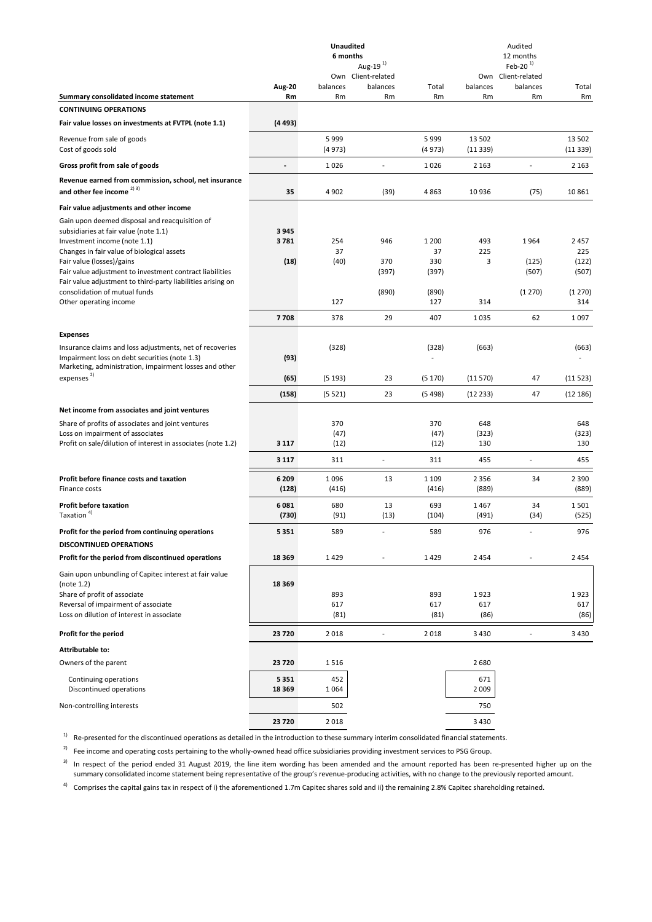|                                                                                                                                                                                          |                  | <b>Unaudited</b><br>6 months | Aug-19 $^{1}$                  |                     |                     | Audited<br>12 months<br>Feb-20 $1$ |                     |
|------------------------------------------------------------------------------------------------------------------------------------------------------------------------------------------|------------------|------------------------------|--------------------------------|---------------------|---------------------|------------------------------------|---------------------|
|                                                                                                                                                                                          | Aug-20           | balances                     | Own Client-related<br>balances | Total               | balances            | Own Client-related<br>balances     | Total               |
| Summary consolidated income statement                                                                                                                                                    | Rm               | Rm                           | Rm                             | Rm                  | Rm                  | Rm                                 | Rm                  |
| <b>CONTINUING OPERATIONS</b>                                                                                                                                                             |                  |                              |                                |                     |                     |                                    |                     |
| Fair value losses on investments at FVTPL (note 1.1)                                                                                                                                     | (4493)           |                              |                                |                     |                     |                                    |                     |
| Revenue from sale of goods<br>Cost of goods sold                                                                                                                                         |                  | 5999<br>(4973)               |                                | 5999<br>(4973)      | 13 502<br>(11339)   |                                    | 13 502<br>(11339)   |
| Gross profit from sale of goods                                                                                                                                                          |                  | 1026                         | $\overline{a}$                 | 1026                | 2 1 6 3             |                                    | 2 1 6 3             |
| Revenue earned from commission, school, net insurance                                                                                                                                    |                  |                              |                                |                     |                     |                                    |                     |
| and other fee income $^{2)3)}$                                                                                                                                                           | 35               | 4902                         | (39)                           | 4863                | 10936               | (75)                               | 10 861              |
| Fair value adjustments and other income                                                                                                                                                  |                  |                              |                                |                     |                     |                                    |                     |
| Gain upon deemed disposal and reacquisition of<br>subsidiaries at fair value (note 1.1)<br>Investment income (note 1.1)<br>Changes in fair value of biological assets                    | 3945<br>3781     | 254<br>37                    | 946                            | 1 200<br>37         | 493<br>225          | 1964                               | 2 4 5 7<br>225      |
| Fair value (losses)/gains                                                                                                                                                                | (18)             | (40)                         | 370                            | 330                 | 3                   | (125)                              | (122)               |
| Fair value adjustment to investment contract liabilities<br>Fair value adjustment to third-party liabilities arising on                                                                  |                  |                              | (397)                          | (397)               |                     | (507)                              | (507)               |
| consolidation of mutual funds                                                                                                                                                            |                  |                              | (890)                          | (890)               |                     | (1270)                             | (1270)              |
| Other operating income                                                                                                                                                                   |                  | 127                          |                                | 127                 | 314                 |                                    | 314                 |
|                                                                                                                                                                                          | 7708             | 378                          | 29                             | 407                 | 1035                | 62                                 | 1 0 9 7             |
| <b>Expenses</b>                                                                                                                                                                          |                  |                              |                                |                     |                     |                                    |                     |
| Insurance claims and loss adjustments, net of recoveries<br>Impairment loss on debt securities (note 1.3)<br>Marketing, administration, impairment losses and other                      | (93)             | (328)                        |                                | (328)               | (663)               |                                    | (663)               |
| expenses <sup>2)</sup>                                                                                                                                                                   | (65)             | (5193)                       | 23                             | (5170)              | (11570)             | 47                                 | (11523)             |
|                                                                                                                                                                                          | (158)            | (5521)                       | 23                             | (5498)              | (12 233)            | 47                                 | (12 186)            |
| Net income from associates and joint ventures                                                                                                                                            |                  |                              |                                |                     |                     |                                    |                     |
| Share of profits of associates and joint ventures<br>Loss on impairment of associates<br>Profit on sale/dilution of interest in associates (note 1.2)                                    | 3 1 1 7          | 370<br>(47)<br>(12)          |                                | 370<br>(47)<br>(12) | 648<br>(323)<br>130 |                                    | 648<br>(323)<br>130 |
|                                                                                                                                                                                          |                  |                              | $\overline{\phantom{a}}$       |                     |                     | $\overline{a}$                     |                     |
|                                                                                                                                                                                          | 3 1 1 7          | 311                          |                                | 311                 | 455                 |                                    | 455                 |
| Profit before finance costs and taxation<br>Finance costs                                                                                                                                | 6 2 0 9<br>(128) | 1096<br>(416)                | 13                             | 1 1 0 9<br>(416)    | 2 3 5 6<br>(889)    | 34                                 | 2 3 9 0<br>(889)    |
| <b>Profit before taxation</b><br>Taxation <sup>4)</sup>                                                                                                                                  | 6081<br>(730)    | 680<br>(91)                  | 13<br>(13)                     | 693<br>(104)        | 1467<br>(491)       | 34<br>(34)                         | 1501<br>(525)       |
| Profit for the period from continuing operations                                                                                                                                         | 5 3 5 1          | 589                          |                                | 589                 | 976                 |                                    | 976                 |
| <b>DISCONTINUED OPERATIONS</b>                                                                                                                                                           |                  |                              |                                |                     |                     |                                    |                     |
| Profit for the period from discontinued operations                                                                                                                                       | 18 3 69          | 1429                         |                                | 1429                | 2454                |                                    | 2 4 5 4             |
| Gain upon unbundling of Capitec interest at fair value<br>(note 1.2)<br>Share of profit of associate<br>Reversal of impairment of associate<br>Loss on dilution of interest in associate | 18 3 6 9         | 893<br>617<br>(81)           |                                | 893<br>617<br>(81)  | 1923<br>617<br>(86) |                                    | 1923<br>617<br>(86) |
| Profit for the period                                                                                                                                                                    | 23720            | 2018                         |                                | 2018                | 3 4 3 0             |                                    | 3 4 3 0             |
| Attributable to:                                                                                                                                                                         |                  |                              |                                |                     |                     |                                    |                     |
| Owners of the parent                                                                                                                                                                     | 23720            | 1516                         |                                |                     | 2680                |                                    |                     |
| Continuing operations<br>Discontinued operations                                                                                                                                         | 5351<br>18 3 6 9 | 452<br>1064                  |                                |                     | 671<br>2 0 0 9      |                                    |                     |
| Non-controlling interests                                                                                                                                                                |                  | 502                          |                                |                     | 750                 |                                    |                     |
|                                                                                                                                                                                          | 23720            | 2018                         |                                |                     | 3 4 3 0             |                                    |                     |

<sup>1)</sup> Re-presented for the discontinued operations as detailed in the introduction to these summary interim consolidated financial statements.

 $2)$  Fee income and operating costs pertaining to the wholly-owned head office subsidiaries providing investment services to PSG Group.

 $3$  In respect of the period ended 31 August 2019, the line item wording has been amended and the amount reported has been re-presented higher up on the summary consolidated income statement being representative of the group's revenue-producing activities, with no change to the previously reported amount.

<sup>4)</sup> Comprises the capital gains tax in respect of i) the aforementioned 1.7m Capitec shares sold and ii) the remaining 2.8% Capitec shareholding retained.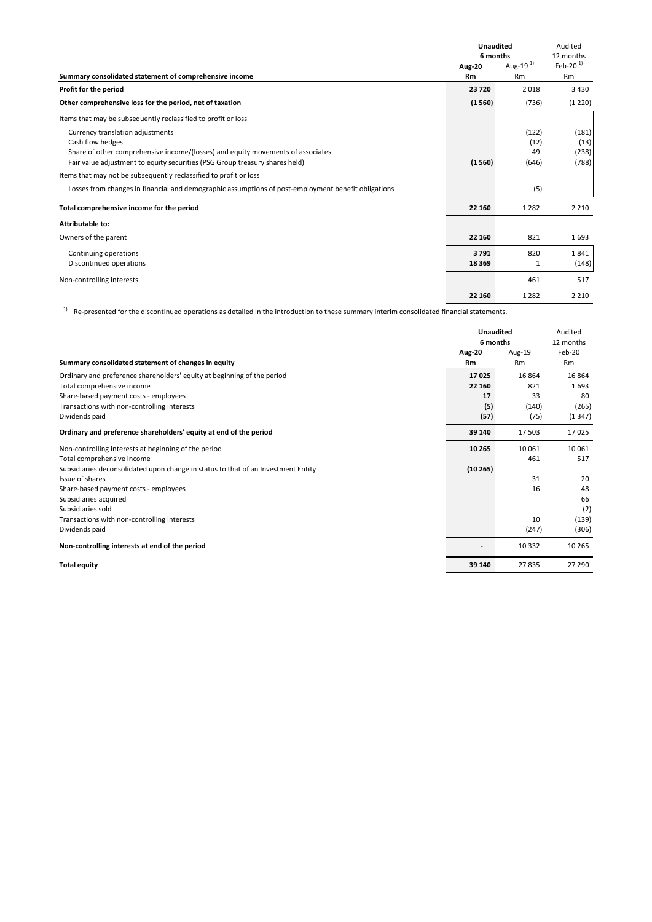|                                                                                                     | <b>Unaudited</b> |               | Audited    |
|-----------------------------------------------------------------------------------------------------|------------------|---------------|------------|
|                                                                                                     | 6 months         |               | 12 months  |
|                                                                                                     | <b>Aug-20</b>    | Aug-19 $^{1}$ | Feb-20 $1$ |
| Summary consolidated statement of comprehensive income                                              | <b>Rm</b>        | Rm            | Rm         |
| Profit for the period                                                                               | 23720            | 2018          | 3 4 3 0    |
| Other comprehensive loss for the period, net of taxation                                            | (1560)           | (736)         | (1 220)    |
| Items that may be subsequently reclassified to profit or loss                                       |                  |               |            |
| Currency translation adjustments                                                                    |                  | (122)         | (181)      |
| Cash flow hedges                                                                                    |                  | (12)          | (13)       |
| Share of other comprehensive income/(losses) and equity movements of associates                     |                  | 49            | (238)      |
| Fair value adjustment to equity securities (PSG Group treasury shares held)                         | (1560)           | (646)         | (788)      |
| Items that may not be subsequently reclassified to profit or loss                                   |                  |               |            |
| Losses from changes in financial and demographic assumptions of post-employment benefit obligations |                  | (5)           |            |
| Total comprehensive income for the period                                                           | 22 160           | 1 2 8 2       | 2 2 1 0    |
| <b>Attributable to:</b>                                                                             |                  |               |            |
| Owners of the parent                                                                                | 22 160           | 821           | 1693       |
| Continuing operations                                                                               | 3791             | 820           | 1841       |
| Discontinued operations                                                                             | 18 3 69          | 1             | (148)      |
| Non-controlling interests                                                                           |                  | 461           | 517        |
|                                                                                                     | 22 160           | 1 2 8 2       | 2 2 1 0    |

1) Re-presented for the discontinued operations as detailed in the introduction to these summary interim consolidated financial statements.

|                                                                                   | <b>Unaudited</b><br>6 months |           | Audited<br>12 months |
|-----------------------------------------------------------------------------------|------------------------------|-----------|----------------------|
|                                                                                   | <b>Aug-20</b>                | Aug-19    | Feb-20               |
| Summary consolidated statement of changes in equity                               | <b>Rm</b>                    | <b>Rm</b> | <b>Rm</b>            |
| Ordinary and preference shareholders' equity at beginning of the period           | 17025                        | 16 864    | 16 8 64              |
| Total comprehensive income                                                        | 22 160                       | 821       | 1693                 |
| Share-based payment costs - employees                                             | 17                           | 33        | 80                   |
| Transactions with non-controlling interests                                       | (5)                          | (140)     | (265)                |
| Dividends paid                                                                    | (57)                         | (75)      | (1347)               |
| Ordinary and preference shareholders' equity at end of the period                 | 39 140                       | 17 503    | 17025                |
| Non-controlling interests at beginning of the period                              | 10 265                       | 10 061    | 10 061               |
| Total comprehensive income                                                        |                              | 461       | 517                  |
| Subsidiaries deconsolidated upon change in status to that of an Investment Entity | (10265)                      |           |                      |
| Issue of shares                                                                   |                              | 31        | 20                   |
| Share-based payment costs - employees                                             |                              | 16        | 48                   |
| Subsidiaries acquired                                                             |                              |           | 66                   |
| Subsidiaries sold                                                                 |                              |           | (2)                  |
| Transactions with non-controlling interests                                       |                              | 10        | (139)                |
| Dividends paid                                                                    |                              | (247)     | (306)                |
| Non-controlling interests at end of the period                                    |                              | 10 3 32   | 10 265               |
| <b>Total equity</b>                                                               | 39 140                       | 27835     | 27 290               |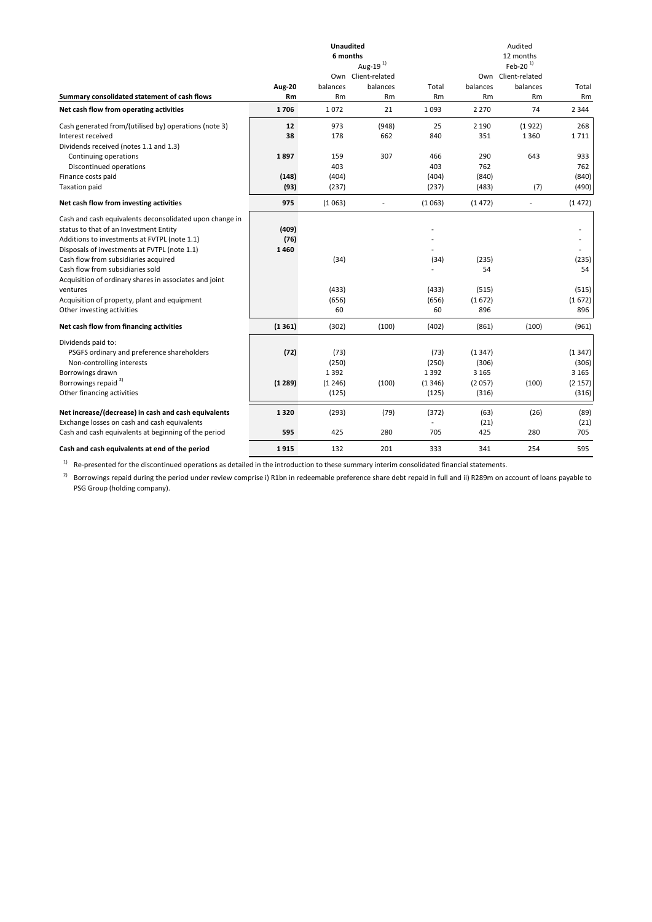|                                                                                                                                                                                                   |                       | <b>Unaudited</b><br>6 months | Aug-19 <sup>1)</sup>           |                         |                            | Audited<br>12 months<br>Feb-20 $1$ |                            |
|---------------------------------------------------------------------------------------------------------------------------------------------------------------------------------------------------|-----------------------|------------------------------|--------------------------------|-------------------------|----------------------------|------------------------------------|----------------------------|
|                                                                                                                                                                                                   | <b>Aug-20</b>         | balances                     | Own Client-related<br>balances | Total                   | balances                   | Own Client-related<br>balances     | Total                      |
| Summary consolidated statement of cash flows                                                                                                                                                      | Rm                    | Rm                           | Rm                             | Rm                      | <b>Rm</b>                  | Rm                                 | Rm                         |
| Net cash flow from operating activities                                                                                                                                                           | 1706                  | 1072                         | 21                             | 1093                    | 2 2 7 0                    | 74                                 | 2 3 4 4                    |
| Cash generated from/(utilised by) operations (note 3)                                                                                                                                             | 12                    | 973                          | (948)                          | 25                      | 2 1 9 0                    | (1922)                             | 268                        |
| Interest received                                                                                                                                                                                 | 38                    | 178                          | 662                            | 840                     | 351                        | 1 3 6 0                            | 1711                       |
| Dividends received (notes 1.1 and 1.3)                                                                                                                                                            |                       |                              |                                |                         |                            |                                    |                            |
| Continuing operations                                                                                                                                                                             | 1897                  | 159                          | 307                            | 466                     | 290                        | 643                                | 933                        |
| Discontinued operations                                                                                                                                                                           |                       | 403                          |                                | 403                     | 762                        |                                    | 762                        |
| Finance costs paid                                                                                                                                                                                | (148)                 | (404)                        |                                | (404)                   | (840)                      |                                    | (840)                      |
| <b>Taxation paid</b>                                                                                                                                                                              | (93)                  | (237)                        |                                | (237)                   | (483)                      | (7)                                | (490)                      |
| Net cash flow from investing activities                                                                                                                                                           | 975                   | (1063)                       | $\overline{\phantom{a}}$       | (1063)                  | (1472)                     | ÷,                                 | (1472)                     |
| Cash and cash equivalents deconsolidated upon change in<br>status to that of an Investment Entity<br>Additions to investments at FVTPL (note 1.1)<br>Disposals of investments at FVTPL (note 1.1) | (409)<br>(76)<br>1460 |                              |                                |                         |                            |                                    |                            |
| Cash flow from subsidiaries acquired                                                                                                                                                              |                       | (34)                         |                                | (34)                    | (235)                      |                                    | (235)                      |
| Cash flow from subsidiaries sold<br>Acquisition of ordinary shares in associates and joint                                                                                                        |                       |                              |                                |                         | 54                         |                                    | 54                         |
| ventures                                                                                                                                                                                          |                       | (433)                        |                                | (433)                   | (515)                      |                                    | (515)                      |
| Acquisition of property, plant and equipment                                                                                                                                                      |                       | (656)                        |                                | (656)                   | (1672)                     |                                    | (1672)                     |
| Other investing activities                                                                                                                                                                        |                       | 60                           |                                | 60                      | 896                        |                                    | 896                        |
| Net cash flow from financing activities                                                                                                                                                           | (1361)                | (302)                        | (100)                          | (402)                   | (861)                      | (100)                              | (961)                      |
| Dividends paid to:<br>PSGFS ordinary and preference shareholders<br>Non-controlling interests<br>Borrowings drawn                                                                                 | (72)                  | (73)<br>(250)<br>1392        |                                | (73)<br>(250)<br>1392   | (1347)<br>(306)<br>3 1 6 5 |                                    | (1347)<br>(306)<br>3 1 6 5 |
| Borrowings repaid <sup>2)</sup>                                                                                                                                                                   | (1289)                | (1246)                       | (100)                          | (1346)                  | (2057)                     | (100)                              | (2 157)                    |
| Other financing activities                                                                                                                                                                        |                       | (125)                        |                                | (125)                   | (316)                      |                                    | (316)                      |
| Net increase/(decrease) in cash and cash equivalents<br>Exchange losses on cash and cash equivalents                                                                                              | 1320                  | (293)                        | (79)                           | (372)<br>$\overline{a}$ | (63)<br>(21)               | (26)                               | (89)<br>(21)               |
| Cash and cash equivalents at beginning of the period                                                                                                                                              | 595                   | 425                          | 280                            | 705                     | 425                        | 280                                | 705                        |
| Cash and cash equivalents at end of the period                                                                                                                                                    | 1915                  | 132                          | 201                            | 333                     | 341                        | 254                                | 595                        |

<sup>1)</sup> Re-presented for the discontinued operations as detailed in the introduction to these summary interim consolidated financial statements.

 $^{2)}$  Borrowings repaid during the period under review comprise i) R1bn in redeemable preference share debt repaid in full and ii) R289m on account of loans payable to PSG Group (holding company).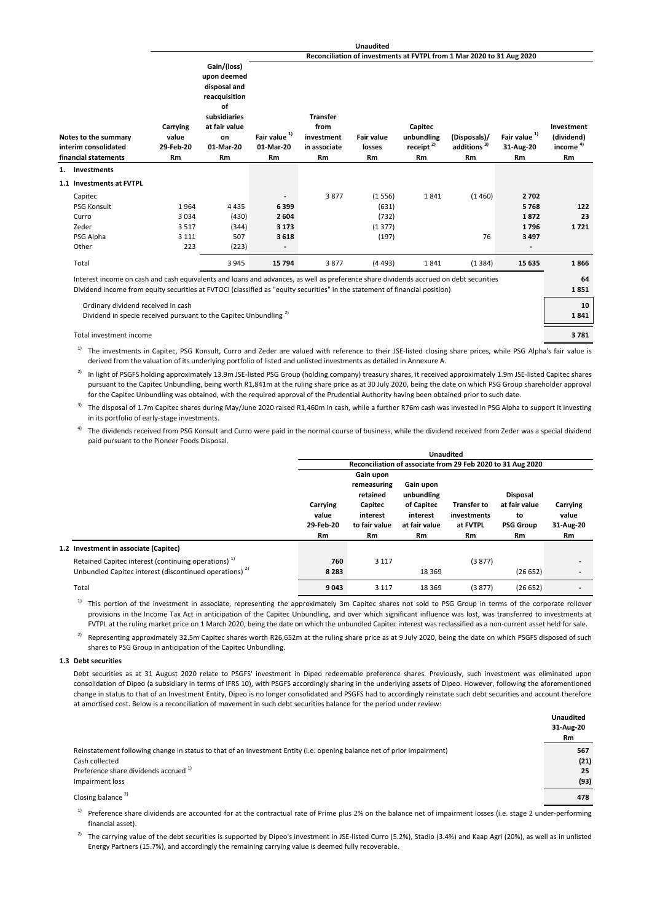#### **Reconciliation of investments at FVTPL from 1 Mar 2020 to 31 Aug 2020**

|    | Notes to the summary<br>interim consolidated<br>financial statements                                                                  | Carrying<br>value<br>29-Feb-20<br><b>Rm</b> | upon deemed<br>disposal and<br>reacquisition<br>of<br>subsidiaries<br>at fair value<br>on<br>01-Mar-20<br>Rm | Fair value <sup>1)</sup><br>01-Mar-20<br><b>Rm</b> | <b>Transfer</b><br>from<br>investment<br>in associate<br><b>Rm</b> | <b>Fair value</b><br>losses<br><b>Rm</b> | Capitec<br>unbundling<br>receipt $^{2)}$<br><b>Rm</b> | (Disposals)/<br>additions <sup>3)</sup><br>Rm | Fair value <sup>1)</sup><br>31-Aug-20<br><b>Rm</b> | Investment<br>(dividend)<br>income $4$<br>Rm |
|----|---------------------------------------------------------------------------------------------------------------------------------------|---------------------------------------------|--------------------------------------------------------------------------------------------------------------|----------------------------------------------------|--------------------------------------------------------------------|------------------------------------------|-------------------------------------------------------|-----------------------------------------------|----------------------------------------------------|----------------------------------------------|
| 1. | <b>Investments</b>                                                                                                                    |                                             |                                                                                                              |                                                    |                                                                    |                                          |                                                       |                                               |                                                    |                                              |
|    | 1.1 Investments at FVTPL                                                                                                              |                                             |                                                                                                              |                                                    |                                                                    |                                          |                                                       |                                               |                                                    |                                              |
|    | Capitec                                                                                                                               |                                             |                                                                                                              |                                                    | 3877                                                               | (1556)                                   | 1841                                                  | (1460)                                        | 2702                                               |                                              |
|    | <b>PSG Konsult</b>                                                                                                                    | 1964                                        | 4 4 3 5                                                                                                      | 6399                                               |                                                                    | (631)                                    |                                                       |                                               | 5768                                               | 122                                          |
|    | Curro                                                                                                                                 | 3034                                        | (430)                                                                                                        | 2 6 0 4                                            |                                                                    | (732)                                    |                                                       |                                               | 1872                                               | 23                                           |
|    | Zeder                                                                                                                                 | 3517                                        | (344)                                                                                                        | 3 1 7 3                                            |                                                                    | (1377)                                   |                                                       |                                               | 1796                                               | 1721                                         |
|    | PSG Alpha                                                                                                                             | 3 1 1 1                                     | 507                                                                                                          | 3618                                               |                                                                    | (197)                                    |                                                       | 76                                            | 3 4 9 7                                            |                                              |
|    | Other                                                                                                                                 | 223                                         | (223)                                                                                                        |                                                    |                                                                    |                                          |                                                       |                                               |                                                    |                                              |
|    | Total                                                                                                                                 |                                             | 3 9 4 5                                                                                                      | 15 7 94                                            | 3877                                                               | (4493)                                   | 1841                                                  | (1384)                                        | 15 635                                             | 1866                                         |
|    | Interest income on cash and cash equivalents and loans and advances, as well as preference share dividends accrued on debt securities |                                             |                                                                                                              |                                                    |                                                                    |                                          |                                                       |                                               |                                                    | 64                                           |
|    | Dividend income from equity securities at FVTOCI (classified as "equity securities" in the statement of financial position)           |                                             |                                                                                                              |                                                    |                                                                    |                                          |                                                       |                                               |                                                    | 1851                                         |
|    | Ordinary dividend received in cash                                                                                                    |                                             |                                                                                                              |                                                    |                                                                    |                                          |                                                       |                                               |                                                    | 10                                           |
|    | Dividend in specie received pursuant to the Capitec Unbundling <sup>21</sup>                                                          |                                             |                                                                                                              |                                                    |                                                                    |                                          |                                                       |                                               |                                                    | 1841                                         |
|    | Total investment income                                                                                                               |                                             |                                                                                                              |                                                    |                                                                    |                                          |                                                       |                                               |                                                    | 3781                                         |

**Gain/(loss)**

1) The investments in Capitec, PSG Konsult, Curro and Zeder are valued with reference to their JSE-listed closing share prices, while PSG Alpha's fair value is derived from the valuation of its underlying portfolio of listed and unlisted investments as detailed in Annexure A.

<sup>2)</sup> In light of PSGFS holding approximately 13.9m JSE-listed PSG Group (holding company) treasury shares, it received approximately 1.9m JSE-listed Capitec shares pursuant to the Capitec Unbundling, being worth R1,841m at the ruling share price as at 30 July 2020, being the date on which PSG Group shareholder approval for the Capitec Unbundling was obtained, with the required approval of the Prudential Authority having been obtained prior to such date.

<sup>3)</sup> The disposal of 1.7m Capitec shares during May/June 2020 raised R1,460m in cash, while a further R76m cash was invested in PSG Alpha to support it investing in its portfolio of early-stage investments.

<sup>4)</sup> The dividends received from PSG Konsult and Curro were paid in the normal course of business, while the dividend received from Zeder was a special dividend paid pursuant to the Pioneer Foods Disposal.

|                                                                    |                                |                                                                              |                                                                    | <b>Unaudited</b>                                            |                                                            |                                |  |
|--------------------------------------------------------------------|--------------------------------|------------------------------------------------------------------------------|--------------------------------------------------------------------|-------------------------------------------------------------|------------------------------------------------------------|--------------------------------|--|
|                                                                    |                                |                                                                              |                                                                    | Reconciliation of associate from 29 Feb 2020 to 31 Aug 2020 |                                                            |                                |  |
|                                                                    | Carrying<br>value<br>29-Feb-20 | Gain upon<br>remeasuring<br>retained<br>Capitec<br>interest<br>to fair value | Gain upon<br>unbundling<br>of Capitec<br>interest<br>at fair value | <b>Transfer to</b><br>investments<br>at FVTPL               | <b>Disposal</b><br>at fair value<br>to<br><b>PSG Group</b> | Carrying<br>value<br>31-Aug-20 |  |
|                                                                    | Rm                             | Rm                                                                           | Rm                                                                 | Rm                                                          | <b>Rm</b>                                                  | Rm                             |  |
| 1.2 Investment in associate (Capitec)                              |                                |                                                                              |                                                                    |                                                             |                                                            |                                |  |
| Retained Capitec interest (continuing operations) <sup>1)</sup>    | 760                            | 3 1 1 7                                                                      |                                                                    | (3877)                                                      |                                                            |                                |  |
| Unbundled Capitec interest (discontinued operations) <sup>2)</sup> | 8 2 8 3                        |                                                                              | 18 3 6 9                                                           |                                                             | (26652)                                                    |                                |  |
| Total                                                              | 9043                           | 3 1 1 7                                                                      | 18 3 69                                                            | (3877)                                                      | (26652)                                                    |                                |  |

<sup>1)</sup> This portion of the investment in associate, representing the approximately 3m Capitec shares not sold to PSG Group in terms of the corporate rollover provisions in the Income Tax Act in anticipation of the Capitec Unbundling, and over which significant influence was lost, was transferred to investments at FVTPL at the ruling market price on 1 March 2020, being the date on which the unbundled Capitec interest was reclassified as a non-current asset held for sale.

 $^{2)}$  Representing approximately 32.5m Capitec shares worth R26,652m at the ruling share price as at 9 July 2020, being the date on which PSGFS disposed of such shares to PSG Group in anticipation of the Capitec Unbundling.

#### **1.3 Debt securities**

Debt securities as at 31 August 2020 relate to PSGFS' investment in Dipeo redeemable preference shares. Previously, such investment was eliminated upon consolidation of Dipeo (a subsidiary in terms of IFRS 10), with PSGFS accordingly sharing in the underlying assets of Dipeo. However, following the aforementioned change in status to that of an Investment Entity, Dipeo is no longer consolidated and PSGFS had to accordingly reinstate such debt securities and account therefore at amortised cost. Below is a reconciliation of movement in such debt securities balance for the period under review:

|                                                                                                                                                                           | <b>Unaudited</b><br>31-Aug-20<br>Rm |
|---------------------------------------------------------------------------------------------------------------------------------------------------------------------------|-------------------------------------|
| Reinstatement following change in status to that of an Investment Entity (i.e. opening balance net of prior impairment)<br>Cash collected                                 | 567<br>(21)                         |
| Preference share dividends accrued <sup>1)</sup><br>Impairment loss                                                                                                       | 25<br>(93)                          |
| Closing balance <sup>2)</sup>                                                                                                                                             | 478                                 |
| <sup>1</sup> Preference share dividends are accounted for at the contractual rate of Prime plus 2% on the balance net of impairment losses (i.e. stage 2 under-performing |                                     |

financial asset).

<sup>2)</sup> The carrying value of the debt securities is supported by Dipeo's investment in JSE-listed Curro (5.2%), Stadio (3.4%) and Kaap Agri (20%), as well as in unlisted Energy Partners (15.7%), and accordingly the remaining carrying value is deemed fully recoverable.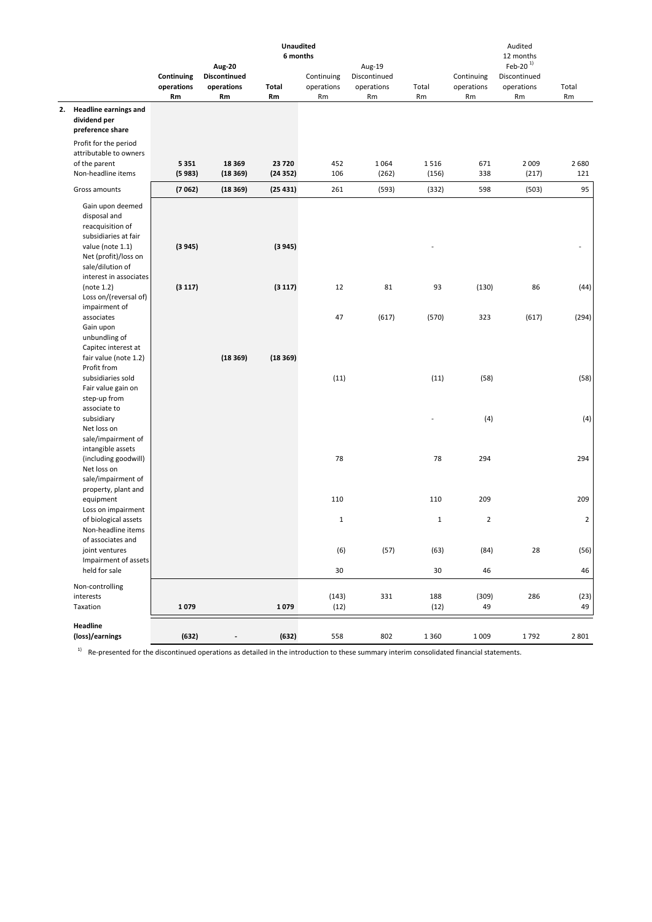|                                                                                      |                                |                                                          | <b>Unaudited</b><br>6 months |                                |                                            |               |                                | Audited<br>12 months                           |                |
|--------------------------------------------------------------------------------------|--------------------------------|----------------------------------------------------------|------------------------------|--------------------------------|--------------------------------------------|---------------|--------------------------------|------------------------------------------------|----------------|
|                                                                                      | Continuing<br>operations<br>Rm | <b>Aug-20</b><br><b>Discontinued</b><br>operations<br>Rm | Total<br>Rm                  | Continuing<br>operations<br>Rm | Aug-19<br>Discontinued<br>operations<br>Rm | Total<br>Rm   | Continuing<br>operations<br>Rm | Feb-20 $1$<br>Discontinued<br>operations<br>Rm | Total<br>Rm    |
| 2. Headline earnings and<br>dividend per<br>preference share                         |                                |                                                          |                              |                                |                                            |               |                                |                                                |                |
| Profit for the period<br>attributable to owners                                      |                                |                                                          |                              |                                |                                            |               |                                |                                                |                |
| of the parent<br>Non-headline items                                                  | 5351<br>(5983)                 | 18 3 69<br>(18369)                                       | 23720<br>(24352)             | 452<br>106                     | 1 0 6 4<br>(262)                           | 1516<br>(156) | 671<br>338                     | 2 0 0 9<br>(217)                               | 2 6 8 0<br>121 |
| Gross amounts                                                                        | (7062)                         | (18369)                                                  | (25431)                      | 261                            | (593)                                      | (332)         | 598                            | (503)                                          | 95             |
| Gain upon deemed<br>disposal and<br>reacquisition of                                 |                                |                                                          |                              |                                |                                            |               |                                |                                                |                |
| subsidiaries at fair<br>value (note 1.1)<br>Net (profit)/loss on<br>sale/dilution of | (3945)                         |                                                          | (3945)                       |                                |                                            |               |                                |                                                |                |
| interest in associates<br>(note 1.2)<br>Loss on/(reversal of)<br>impairment of       | (3117)                         |                                                          | (3117)                       | 12                             | 81                                         | 93            | (130)                          | 86                                             | (44)           |
| associates<br>Gain upon<br>unbundling of                                             |                                |                                                          |                              | 47                             | (617)                                      | (570)         | 323                            | (617)                                          | (294)          |
| Capitec interest at<br>fair value (note 1.2)<br>Profit from                          |                                | (18369)                                                  | (18369)                      |                                |                                            |               |                                |                                                |                |
| subsidiaries sold<br>Fair value gain on<br>step-up from                              |                                |                                                          |                              | (11)                           |                                            | (11)          | (58)                           |                                                | (58)           |
| associate to<br>subsidiary<br>Net loss on                                            |                                |                                                          |                              |                                |                                            |               | (4)                            |                                                | (4)            |
| sale/impairment of<br>intangible assets<br>(including goodwill)<br>Net loss on       |                                |                                                          |                              | 78                             |                                            | 78            | 294                            |                                                | 294            |
| sale/impairment of<br>property, plant and<br>equipment                               |                                |                                                          |                              | 110                            |                                            | 110           | 209                            |                                                | 209            |
| Loss on impairment<br>of biological assets<br>Non-headline items                     |                                |                                                          |                              | $1\,$                          |                                            | $\mathbf 1$   | $\overline{2}$                 |                                                | $\overline{2}$ |
| of associates and<br>joint ventures<br>Impairment of assets                          |                                |                                                          |                              | (6)                            | (57)                                       | (63)          | (84)                           | 28                                             | (56)           |
| held for sale                                                                        |                                |                                                          |                              | 30                             |                                            | 30            | 46                             |                                                | 46             |
| Non-controlling<br>interests                                                         |                                |                                                          |                              | (143)                          | 331                                        | 188           | (309)                          | 286                                            | (23)           |
| Taxation                                                                             | 1079                           |                                                          | 1079                         | (12)                           |                                            | (12)          | 49                             |                                                | 49             |
| Headline<br>(loss)/earnings                                                          | (632)                          |                                                          | (632)                        | 558                            | 802                                        | 1360          | 1009                           | 1792                                           | 2 8 0 1        |

1) Re-presented for the discontinued operations as detailed in the introduction to these summary interim consolidated financial statements.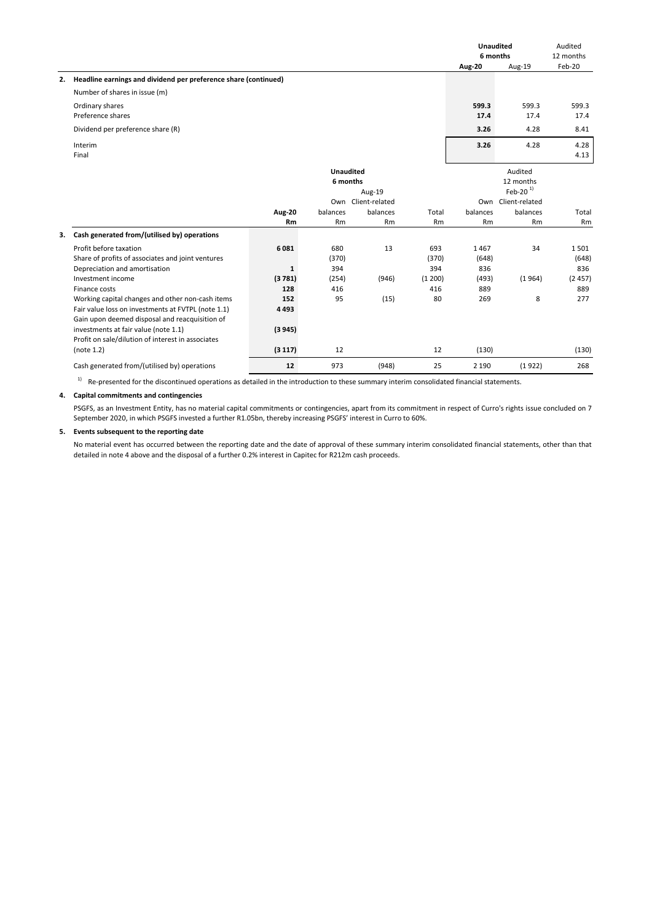|    |                                                                 |               |                  |                    |         | <b>Unaudited</b><br>6 months |                    | Audited<br>12 months |
|----|-----------------------------------------------------------------|---------------|------------------|--------------------|---------|------------------------------|--------------------|----------------------|
|    |                                                                 |               |                  |                    |         | Aug-20                       | Aug-19             | Feb-20               |
| 2. | Headline earnings and dividend per preference share (continued) |               |                  |                    |         |                              |                    |                      |
|    | Number of shares in issue (m)                                   |               |                  |                    |         |                              |                    |                      |
|    | Ordinary shares<br>Preference shares                            |               |                  |                    |         | 599.3                        | 599.3              | 599.3                |
|    |                                                                 |               |                  |                    |         | 17.4                         | 17.4               | 17.4                 |
|    | Dividend per preference share (R)                               |               |                  |                    |         | 3.26                         | 4.28               | 8.41                 |
|    | Interim                                                         |               |                  |                    |         | 3.26                         | 4.28               | 4.28                 |
|    | Final                                                           |               |                  |                    |         |                              |                    | 4.13                 |
|    |                                                                 |               | <b>Unaudited</b> |                    |         |                              | Audited            |                      |
|    |                                                                 |               | 6 months         |                    |         |                              | 12 months          |                      |
|    |                                                                 |               |                  | Aug-19             |         |                              | Feb-20 $1$         |                      |
|    |                                                                 |               |                  | Own Client-related |         |                              | Own Client-related |                      |
|    |                                                                 | <b>Aug-20</b> | balances         | balances           | Total   | balances                     | balances           | Total                |
|    |                                                                 | Rm            | Rm               | Rm                 | Rm      | <b>Rm</b>                    | Rm                 | Rm                   |
| 3. | Cash generated from/(utilised by) operations                    |               |                  |                    |         |                              |                    |                      |
|    | Profit before taxation                                          | 6081          | 680              | 13                 | 693     | 1467                         | 34                 | 1501                 |
|    | Share of profits of associates and joint ventures               |               | (370)            |                    | (370)   | (648)                        |                    | (648)                |
|    | Depreciation and amortisation                                   | 1             | 394              |                    | 394     | 836                          |                    | 836                  |
|    | Investment income                                               | (3781)        | (254)            | (946)              | (1 200) | (493)                        | (1964)             | (2457)               |
|    | Finance costs                                                   | 128           | 416              |                    | 416     | 889                          |                    | 889                  |
|    | Working capital changes and other non-cash items                | 152           | 95               | (15)               | 80      | 269                          | 8                  | 277                  |
|    | Fair value loss on investments at FVTPL (note 1.1)              | 4 4 9 3       |                  |                    |         |                              |                    |                      |
|    | Gain upon deemed disposal and reacquisition of                  |               |                  |                    |         |                              |                    |                      |
|    | investments at fair value (note 1.1)                            | (3945)        |                  |                    |         |                              |                    |                      |
|    | Profit on sale/dilution of interest in associates               |               |                  |                    |         |                              |                    |                      |
|    | (note 1.2)                                                      | (3117)        | 12               |                    | 12      | (130)                        |                    | (130)                |
|    | Cash generated from/(utilised by) operations                    | 12            | 973              | (948)              | 25      | 2 1 9 0                      | (1922)             | 268                  |

 $1)$  Re-presented for the discontinued operations as detailed in the introduction to these summary interim consolidated financial statements.

## **4. Capital commitments and contingencies**

PSGFS, as an Investment Entity, has no material capital commitments or contingencies, apart from its commitment in respect of Curro's rights issue concluded on 7 September 2020, in which PSGFS invested a further R1.05bn, thereby increasing PSGFS' interest in Curro to 60%.

## **5. Events subsequent to the reporting date**

No material event has occurred between the reporting date and the date of approval of these summary interim consolidated financial statements, other than that detailed in note 4 above and the disposal of a further 0.2% interest in Capitec for R212m cash proceeds.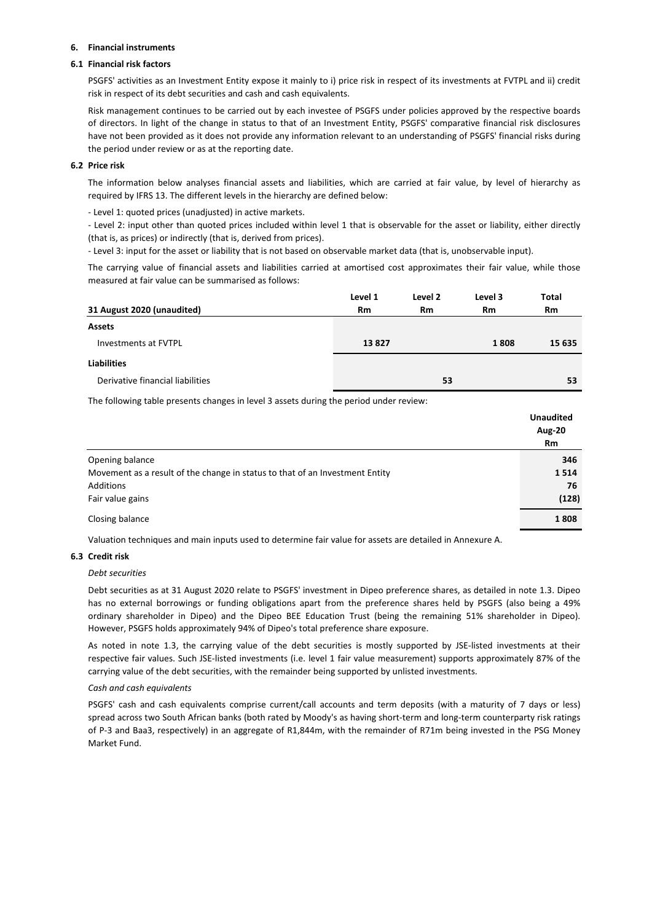## **6. Financial instruments**

## **6.1 Financial risk factors**

PSGFS' activities as an Investment Entity expose it mainly to i) price risk in respect of its investments at FVTPL and ii) credit risk in respect of its debt securities and cash and cash equivalents.

Risk management continues to be carried out by each investee of PSGFS under policies approved by the respective boards of directors. In light of the change in status to that of an Investment Entity, PSGFS' comparative financial risk disclosures have not been provided as it does not provide any information relevant to an understanding of PSGFS' financial risks during the period under review or as at the reporting date.

## **6.2 Price risk**

The information below analyses financial assets and liabilities, which are carried at fair value, by level of hierarchy as required by IFRS 13. The different levels in the hierarchy are defined below:

- Level 1: quoted prices (unadjusted) in active markets.

- Level 2: input other than quoted prices included within level 1 that is observable for the asset or liability, either directly (that is, as prices) or indirectly (that is, derived from prices).

- Level 3: input for the asset or liability that is not based on observable market data (that is, unobservable input).

The carrying value of financial assets and liabilities carried at amortised cost approximates their fair value, while those measured at fair value can be summarised as follows:

|                                  | Level 1   | Level 2   | Level 3 | Total     |
|----------------------------------|-----------|-----------|---------|-----------|
| 31 August 2020 (unaudited)       | <b>Rm</b> | <b>Rm</b> | Rm      | <b>Rm</b> |
| <b>Assets</b>                    |           |           |         |           |
| Investments at FVTPL             | 13827     |           | 1808    | 15 635    |
| <b>Liabilities</b>               |           |           |         |           |
| Derivative financial liabilities |           | 53        |         | 53        |
|                                  |           |           |         |           |

The following table presents changes in level 3 assets during the period under review:

|                                                                              | <b>Unaudited</b><br>Aug-20 |
|------------------------------------------------------------------------------|----------------------------|
|                                                                              | <b>Rm</b>                  |
| Opening balance                                                              | 346                        |
| Movement as a result of the change in status to that of an Investment Entity | 1514                       |
| Additions                                                                    | 76                         |
| Fair value gains                                                             | (128)                      |
| Closing balance                                                              | 1808                       |

Valuation techniques and main inputs used to determine fair value for assets are detailed in Annexure A.

## **6.3 Credit risk**

## *Debt securities*

Debt securities as at 31 August 2020 relate to PSGFS' investment in Dipeo preference shares, as detailed in note 1.3. Dipeo has no external borrowings or funding obligations apart from the preference shares held by PSGFS (also being a 49% ordinary shareholder in Dipeo) and the Dipeo BEE Education Trust (being the remaining 51% shareholder in Dipeo). However, PSGFS holds approximately 94% of Dipeo's total preference share exposure.

As noted in note 1.3, the carrying value of the debt securities is mostly supported by JSE-listed investments at their respective fair values. Such JSE-listed investments (i.e. level 1 fair value measurement) supports approximately 87% of the carrying value of the debt securities, with the remainder being supported by unlisted investments.

### *Cash and cash equivalents*

PSGFS' cash and cash equivalents comprise current/call accounts and term deposits (with a maturity of 7 days or less) spread across two South African banks (both rated by Moody's as having short-term and long-term counterparty risk ratings of P-3 and Baa3, respectively) in an aggregate of R1,844m, with the remainder of R71m being invested in the PSG Money Market Fund.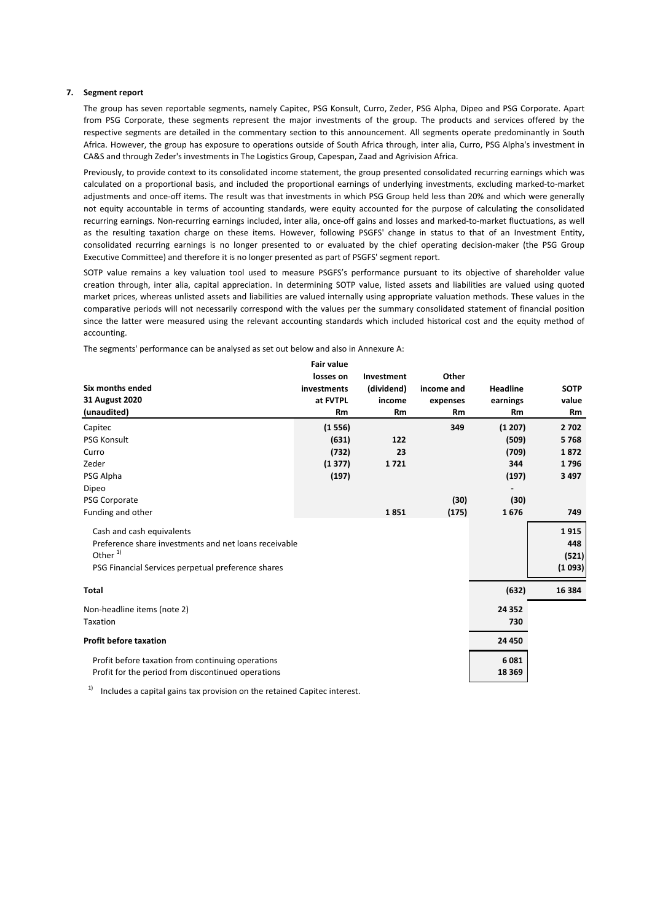#### **7. Segment report**

The group has seven reportable segments, namely Capitec, PSG Konsult, Curro, Zeder, PSG Alpha, Dipeo and PSG Corporate. Apart from PSG Corporate, these segments represent the major investments of the group. The products and services offered by the respective segments are detailed in the commentary section to this announcement. All segments operate predominantly in South Africa. However, the group has exposure to operations outside of South Africa through, inter alia, Curro, PSG Alpha's investment in CA&S and through Zeder's investments in The Logistics Group, Capespan, Zaad and Agrivision Africa.

Previously, to provide context to its consolidated income statement, the group presented consolidated recurring earnings which was calculated on a proportional basis, and included the proportional earnings of underlying investments, excluding marked-to-market adjustments and once-off items. The result was that investments in which PSG Group held less than 20% and which were generally not equity accountable in terms of accounting standards, were equity accounted for the purpose of calculating the consolidated recurring earnings. Non-recurring earnings included, inter alia, once-off gains and losses and marked-to-market fluctuations, as well as the resulting taxation charge on these items. However, following PSGFS' change in status to that of an Investment Entity, consolidated recurring earnings is no longer presented to or evaluated by the chief operating decision-maker (the PSG Group Executive Committee) and therefore it is no longer presented as part of PSGFS' segment report.

SOTP value remains a key valuation tool used to measure PSGFS's performance pursuant to its objective of shareholder value creation through, inter alia, capital appreciation. In determining SOTP value, listed assets and liabilities are valued using quoted market prices, whereas unlisted assets and liabilities are valued internally using appropriate valuation methods. These values in the comparative periods will not necessarily correspond with the values per the summary consolidated statement of financial position since the latter were measured using the relevant accounting standards which included historical cost and the equity method of accounting.

The segments' performance can be analysed as set out below and also in Annexure A:

|                                                       | <b>Fair value</b> |            |            |                 |             |
|-------------------------------------------------------|-------------------|------------|------------|-----------------|-------------|
|                                                       | losses on         | Investment | Other      |                 |             |
| Six months ended                                      | investments       | (dividend) | income and | <b>Headline</b> | <b>SOTP</b> |
| 31 August 2020                                        | at FVTPL          | income     | expenses   | earnings        | value       |
| (unaudited)                                           | Rm                | Rm         | Rm         | Rm              | <b>Rm</b>   |
| Capitec                                               | (1556)            |            | 349        | (1 207)         | 2702        |
| <b>PSG Konsult</b>                                    | (631)             | 122        |            | (509)           | 5768        |
| Curro                                                 | (732)             | 23         |            | (709)           | 1872        |
| Zeder                                                 | (1377)            | 1721       |            | 344             | 1796        |
| PSG Alpha                                             | (197)             |            |            | (197)           | 3497        |
| Dipeo                                                 |                   |            |            |                 |             |
| PSG Corporate                                         |                   |            | (30)       | (30)            |             |
| Funding and other                                     |                   | 1851       | (175)      | 1676            | 749         |
| Cash and cash equivalents                             |                   |            |            |                 | 1915        |
| Preference share investments and net loans receivable |                   |            |            |                 | 448         |
| Other <sup>1)</sup>                                   |                   |            |            |                 | (521)       |
| PSG Financial Services perpetual preference shares    |                   |            |            |                 | (1093)      |
| <b>Total</b>                                          |                   |            |            | (632)           | 16 3 84     |
| Non-headline items (note 2)                           |                   |            |            | 24 3 52         |             |
| Taxation                                              |                   |            |            | 730             |             |
| <b>Profit before taxation</b>                         |                   |            |            | 24 450          |             |
| Profit before taxation from continuing operations     |                   |            |            | 6081            |             |
| Profit for the period from discontinued operations    |                   |            |            | 18 3 69         |             |
|                                                       |                   |            |            |                 |             |

 $1)$  Includes a capital gains tax provision on the retained Capitec interest.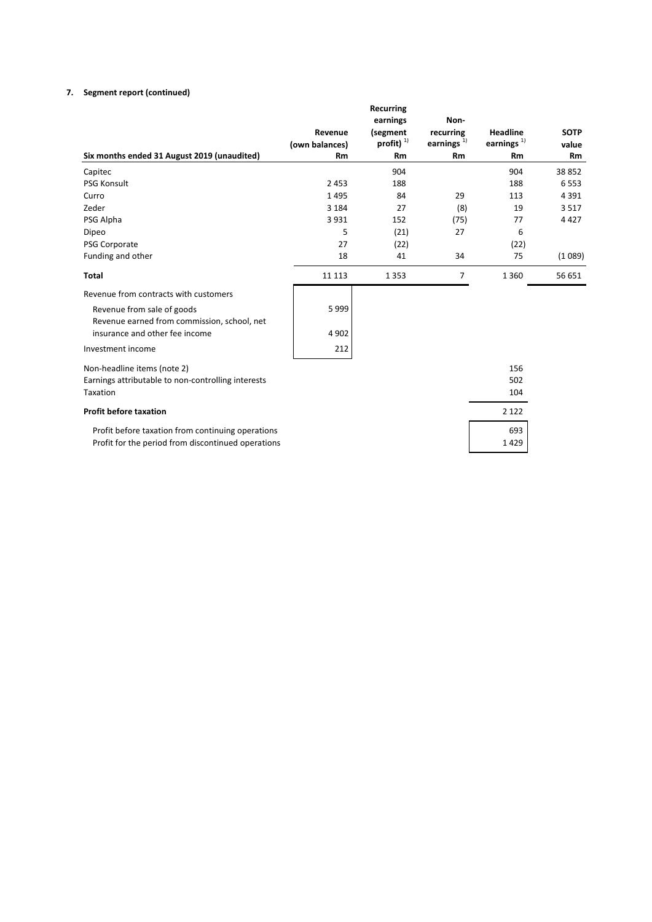## **7. Segment report (continued)**

|                                                    | Revenue        | <b>Recurring</b><br>earnings<br>(segment | Non-<br>recurring | <b>Headline</b> | <b>SOTP</b> |
|----------------------------------------------------|----------------|------------------------------------------|-------------------|-----------------|-------------|
|                                                    | (own balances) | profit) $^{1}$                           | earnings $^{1)}$  | earnings $1$    | value       |
| Six months ended 31 August 2019 (unaudited)        | Rm             | Rm                                       | Rm                | Rm              | <b>Rm</b>   |
| Capitec                                            |                | 904                                      |                   | 904             | 38852       |
| <b>PSG Konsult</b>                                 | 2453           | 188                                      |                   | 188             | 6553        |
| Curro                                              | 1495           | 84                                       | 29                | 113             | 4391        |
| Zeder                                              | 3 1 8 4        | 27                                       | (8)               | 19              | 3517        |
| PSG Alpha                                          | 3931           | 152                                      | (75)              | 77              | 4427        |
| Dipeo                                              | 5              | (21)                                     | 27                | 6               |             |
| PSG Corporate                                      | 27             | (22)                                     |                   | (22)            |             |
| Funding and other                                  | 18             | 41                                       | 34                | 75              | (1089)      |
| <b>Total</b>                                       | 11 1 13        | 1 3 5 3                                  | 7                 | 1 3 6 0         | 56 651      |
| Revenue from contracts with customers              |                |                                          |                   |                 |             |
| Revenue from sale of goods                         | 5999           |                                          |                   |                 |             |
| Revenue earned from commission, school, net        |                |                                          |                   |                 |             |
| insurance and other fee income                     | 4 9 0 2        |                                          |                   |                 |             |
| Investment income                                  | 212            |                                          |                   |                 |             |
| Non-headline items (note 2)                        |                |                                          |                   | 156             |             |
| Earnings attributable to non-controlling interests |                |                                          |                   | 502             |             |
| Taxation                                           |                |                                          |                   | 104             |             |
| <b>Profit before taxation</b>                      |                |                                          |                   | 2 1 2 2         |             |
| Profit before taxation from continuing operations  |                |                                          |                   | 693             |             |
| Profit for the period from discontinued operations |                |                                          |                   | 1429            |             |
|                                                    |                |                                          |                   |                 |             |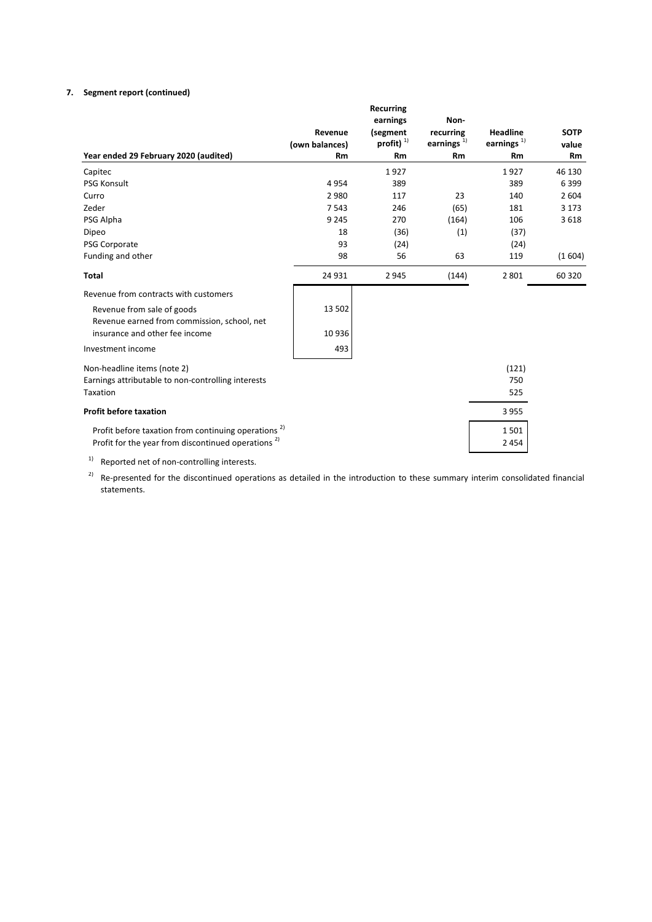## **7. Segment report (continued)**

|                | <b>Recurring</b> |                            |                          |                                                 |
|----------------|------------------|----------------------------|--------------------------|-------------------------------------------------|
| Revenue        | (segment         | recurring                  | <b>Headline</b>          | <b>SOTP</b>                                     |
| (own balances) |                  |                            |                          | value                                           |
| <b>Rm</b>      | Rm               | Rm                         | Rm                       | <b>Rm</b>                                       |
|                | 1927             |                            | 1927                     | 46 130                                          |
| 4954           | 389              |                            | 389                      | 6399                                            |
| 2980           | 117              | 23                         | 140                      | 2 6 0 4                                         |
| 7543           | 246              | (65)                       | 181                      | 3 1 7 3                                         |
| 9 2 4 5        | 270              | (164)                      | 106                      | 3618                                            |
| 18             | (36)             | (1)                        | (37)                     |                                                 |
| 93             | (24)             |                            | (24)                     |                                                 |
| 98             | 56               | 63                         | 119                      | (1604)                                          |
| 24 9 31        | 2945             | (144)                      | 2 8 0 1                  | 60 3 20                                         |
|                |                  |                            |                          |                                                 |
| 13 502         |                  |                            |                          |                                                 |
|                |                  |                            |                          |                                                 |
| 10 936         |                  |                            |                          |                                                 |
| 493            |                  |                            |                          |                                                 |
|                |                  |                            |                          |                                                 |
|                |                  |                            |                          |                                                 |
|                |                  |                            | 525                      |                                                 |
|                |                  |                            | 3955                     |                                                 |
|                |                  |                            |                          |                                                 |
|                |                  |                            |                          |                                                 |
|                |                  |                            |                          |                                                 |
|                |                  | earnings<br>profit) $^{1}$ | Non-<br>earnings $^{1)}$ | earnings $1$<br>(121)<br>750<br>1501<br>2 4 5 4 |

<sup>1)</sup> Reported net of non-controlling interests.

 $^{2)}$  Re-presented for the discontinued operations as detailed in the introduction to these summary interim consolidated financial statements.